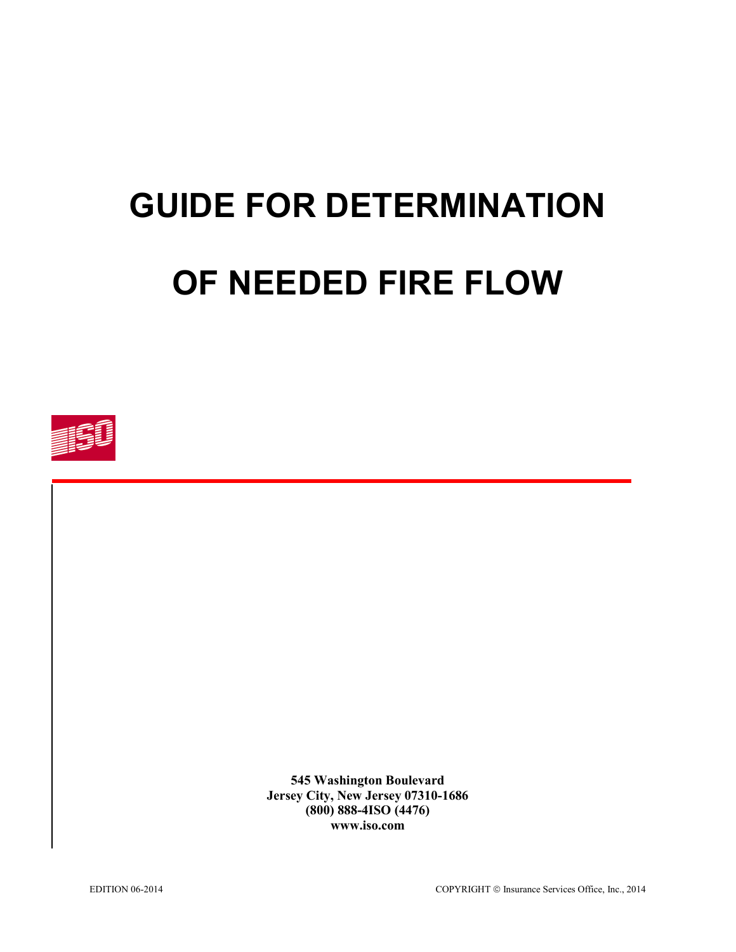# **GUIDE FOR DETERMINATION OF NEEDED FIRE FLOW**



**545 Washington Boulevard Jersey City, New Jersey 07310-1686 (800) 888-4ISO (4476) www.iso.com**

EDITION 06-2014 COPYRIGHT © Insurance Services Office, Inc., 2014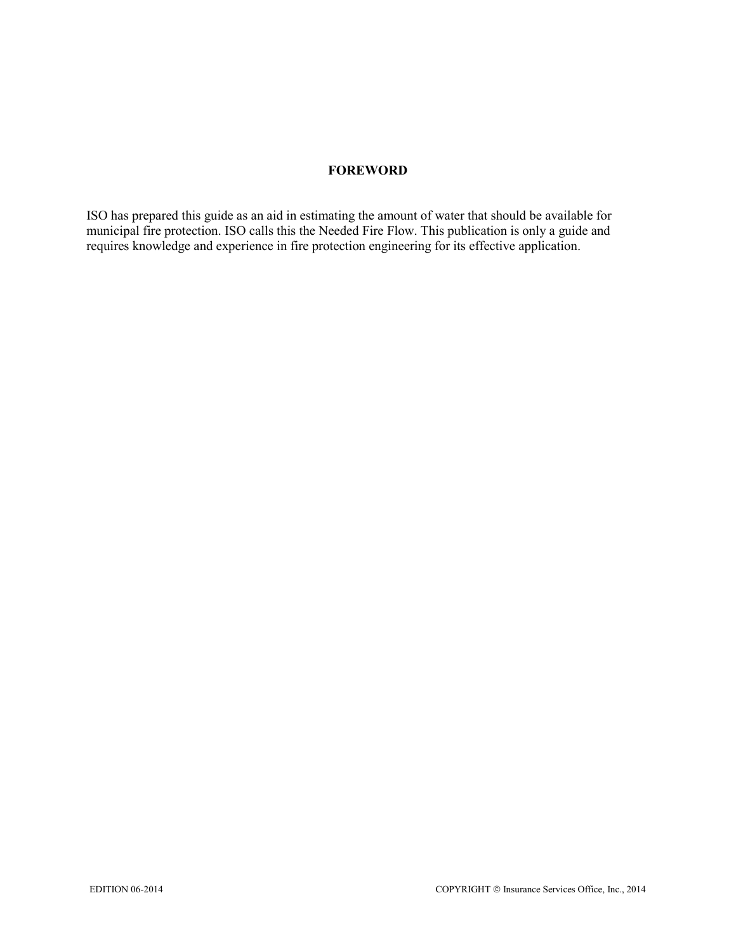## **FOREWORD**

ISO has prepared this guide as an aid in estimating the amount of water that should be available for municipal fire protection. ISO calls this the Needed Fire Flow. This publication is only a guide and requires knowledge and experience in fire protection engineering for its effective application.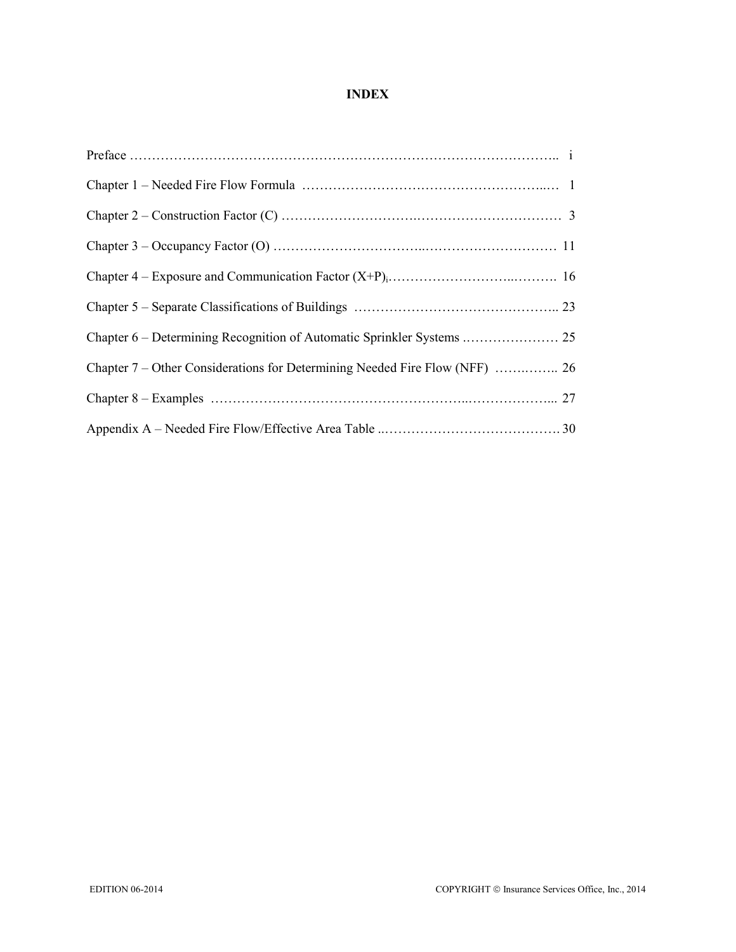# **INDEX**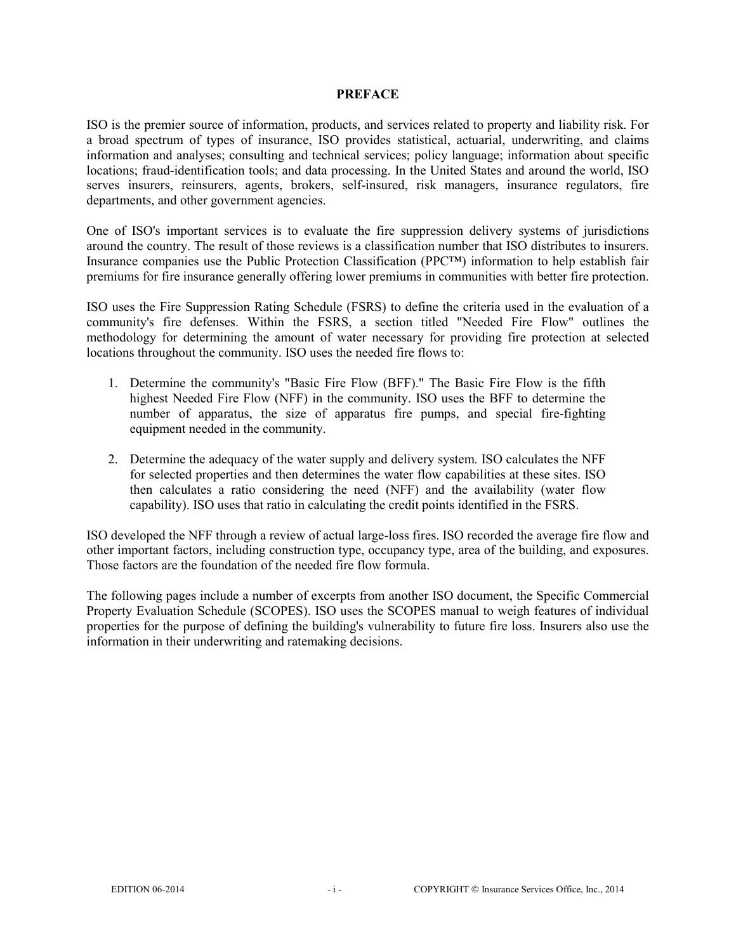#### **PREFACE**

ISO is the premier source of information, products, and services related to property and liability risk. For a broad spectrum of types of insurance, ISO provides statistical, actuarial, underwriting, and claims information and analyses; consulting and technical services; policy language; information about specific locations; fraud-identification tools; and data processing. In the United States and around the world, ISO serves insurers, reinsurers, agents, brokers, self-insured, risk managers, insurance regulators, fire departments, and other government agencies.

One of ISO's important services is to evaluate the fire suppression delivery systems of jurisdictions around the country. The result of those reviews is a classification number that ISO distributes to insurers. Insurance companies use the Public Protection Classification (PPC™) information to help establish fair premiums for fire insurance generally offering lower premiums in communities with better fire protection.

ISO uses the Fire Suppression Rating Schedule (FSRS) to define the criteria used in the evaluation of a community's fire defenses. Within the FSRS, a section titled "Needed Fire Flow" outlines the methodology for determining the amount of water necessary for providing fire protection at selected locations throughout the community. ISO uses the needed fire flows to:

- 1. Determine the community's "Basic Fire Flow (BFF)." The Basic Fire Flow is the fifth highest Needed Fire Flow (NFF) in the community. ISO uses the BFF to determine the number of apparatus, the size of apparatus fire pumps, and special fire-fighting equipment needed in the community.
- 2. Determine the adequacy of the water supply and delivery system. ISO calculates the NFF for selected properties and then determines the water flow capabilities at these sites. ISO then calculates a ratio considering the need (NFF) and the availability (water flow capability). ISO uses that ratio in calculating the credit points identified in the FSRS.

ISO developed the NFF through a review of actual large-loss fires. ISO recorded the average fire flow and other important factors, including construction type, occupancy type, area of the building, and exposures. Those factors are the foundation of the needed fire flow formula.

The following pages include a number of excerpts from another ISO document, the Specific Commercial Property Evaluation Schedule (SCOPES). ISO uses the SCOPES manual to weigh features of individual properties for the purpose of defining the building's vulnerability to future fire loss. Insurers also use the information in their underwriting and ratemaking decisions.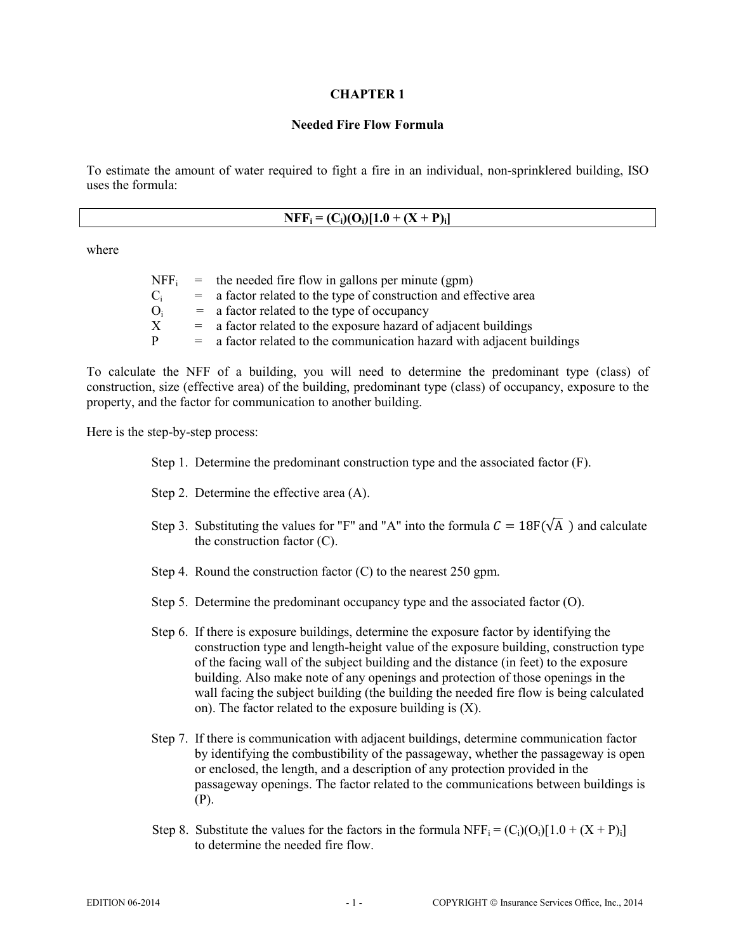#### **Needed Fire Flow Formula**

To estimate the amount of water required to fight a fire in an individual, non-sprinklered building, ISO uses the formula:

where

|    | $NFF_i$ = the needed fire flow in gallons per minute (gpm)               |
|----|--------------------------------------------------------------------------|
|    | $=$ a factor related to the type of construction and effective area      |
| () | $=$ a factor related to the type of occupancy                            |
|    | $=$ a factor related to the exposure hazard of adjacent buildings        |
| D  | $=$ a factor related to the communication hazard with adjacent buildings |

To calculate the NFF of a building, you will need to determine the predominant type (class) of construction, size (effective area) of the building, predominant type (class) of occupancy, exposure to the property, and the factor for communication to another building.

Here is the step-by-step process:

- Step 1. Determine the predominant construction type and the associated factor (F).
- Step 2. Determine the effective area (A).
- Step 3. Substituting the values for "F" and "A" into the formula  $C = 18F(\sqrt{A})$  and calculate the construction factor (C).
- Step 4. Round the construction factor (C) to the nearest 250 gpm.
- Step 5. Determine the predominant occupancy type and the associated factor (O).
- Step 6. If there is exposure buildings, determine the exposure factor by identifying the construction type and length-height value of the exposure building, construction type of the facing wall of the subject building and the distance (in feet) to the exposure building. Also make note of any openings and protection of those openings in the wall facing the subject building (the building the needed fire flow is being calculated on). The factor related to the exposure building is (X).
- Step 7. If there is communication with adjacent buildings, determine communication factor by identifying the combustibility of the passageway, whether the passageway is open or enclosed, the length, and a description of any protection provided in the passageway openings. The factor related to the communications between buildings is (P).
- Step 8. Substitute the values for the factors in the formula  $NFF_i = (C_i)(O_i)[1.0 + (X + P)_i]$ to determine the needed fire flow.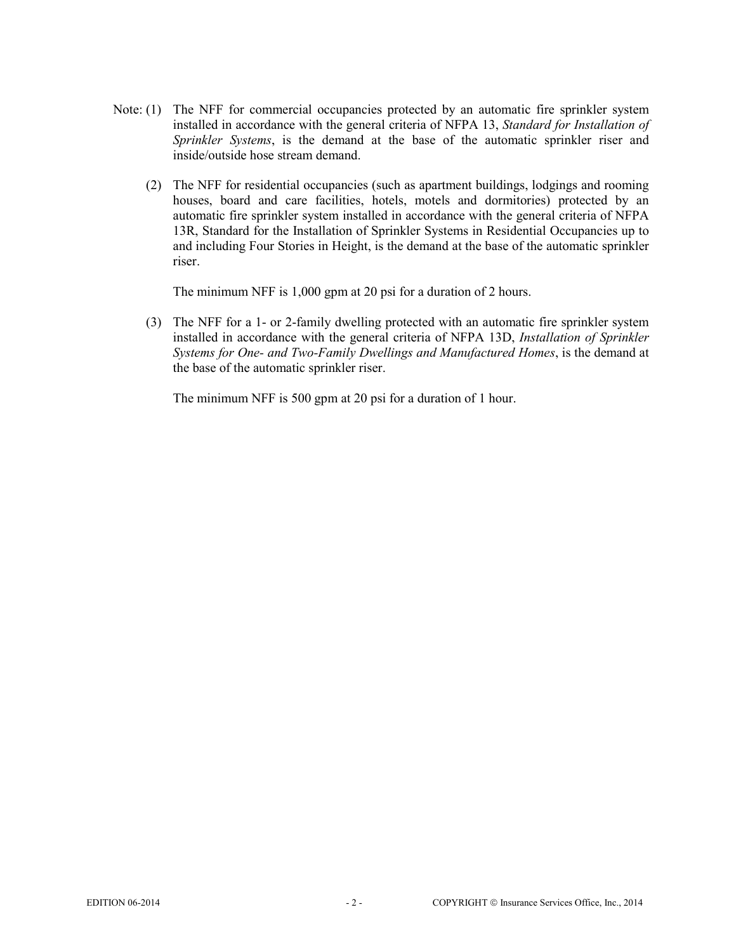- Note: (1) The NFF for commercial occupancies protected by an automatic fire sprinkler system installed in accordance with the general criteria of NFPA 13, *Standard for Installation of Sprinkler Systems*, is the demand at the base of the automatic sprinkler riser and inside/outside hose stream demand.
	- (2) The NFF for residential occupancies (such as apartment buildings, lodgings and rooming houses, board and care facilities, hotels, motels and dormitories) protected by an automatic fire sprinkler system installed in accordance with the general criteria of NFPA 13R, Standard for the Installation of Sprinkler Systems in Residential Occupancies up to and including Four Stories in Height, is the demand at the base of the automatic sprinkler riser.

The minimum NFF is 1,000 gpm at 20 psi for a duration of 2 hours.

(3) The NFF for a 1- or 2-family dwelling protected with an automatic fire sprinkler system installed in accordance with the general criteria of NFPA 13D, *Installation of Sprinkler Systems for One- and Two-Family Dwellings and Manufactured Homes*, is the demand at the base of the automatic sprinkler riser.

The minimum NFF is 500 gpm at 20 psi for a duration of 1 hour.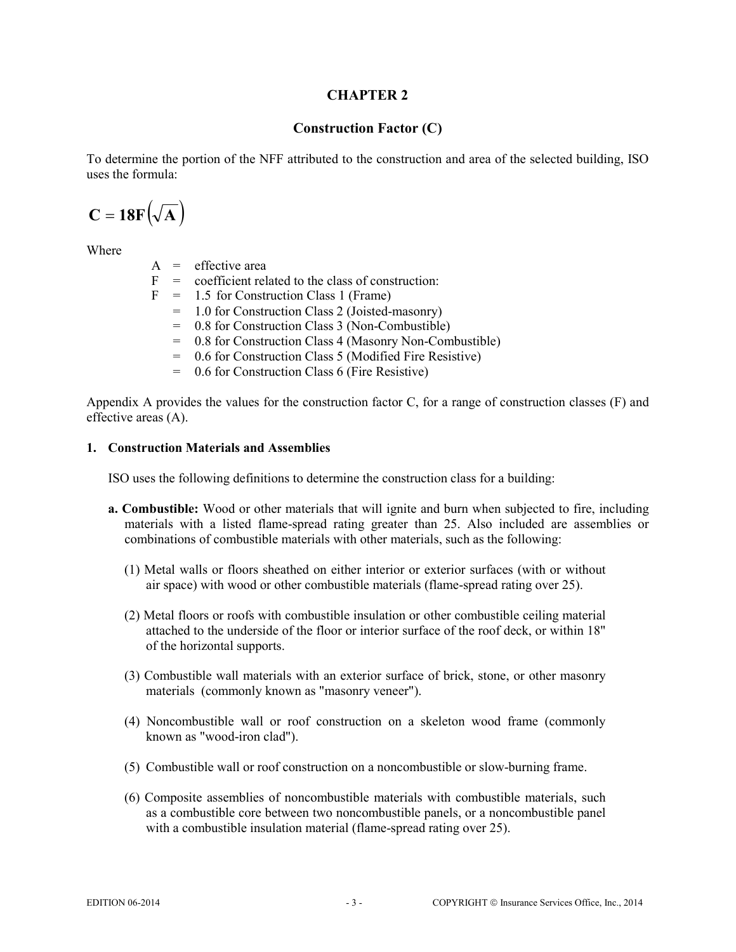# **Construction Factor (C)**

To determine the portion of the NFF attributed to the construction and area of the selected building, ISO uses the formula:

$$
C = 18F(\sqrt{A})
$$

Where

 $A =$  effective area

- $F = \text{coefficient related to the class of construction:}$
- $F = 1.5$  for Construction Class 1 (Frame)
	- = 1.0 for Construction Class 2 (Joisted-masonry)
	- = 0.8 for Construction Class 3 (Non-Combustible)
	- = 0.8 for Construction Class 4 (Masonry Non-Combustible)
	- = 0.6 for Construction Class 5 (Modified Fire Resistive)
	- = 0.6 for Construction Class 6 (Fire Resistive)

Appendix A provides the values for the construction factor C, for a range of construction classes (F) and effective areas (A).

#### **1. Construction Materials and Assemblies**

ISO uses the following definitions to determine the construction class for a building:

- **a. Combustible:** Wood or other materials that will ignite and burn when subjected to fire, including materials with a listed flame-spread rating greater than 25. Also included are assemblies or combinations of combustible materials with other materials, such as the following:
	- (1) Metal walls or floors sheathed on either interior or exterior surfaces (with or without air space) with wood or other combustible materials (flame-spread rating over 25).
	- (2) Metal floors or roofs with combustible insulation or other combustible ceiling material attached to the underside of the floor or interior surface of the roof deck, or within 18" of the horizontal supports.
	- (3) Combustible wall materials with an exterior surface of brick, stone, or other masonry materials (commonly known as "masonry veneer").
	- (4) Noncombustible wall or roof construction on a skeleton wood frame (commonly known as "wood-iron clad").
	- (5) Combustible wall or roof construction on a noncombustible or slow-burning frame.
	- (6) Composite assemblies of noncombustible materials with combustible materials, such as a combustible core between two noncombustible panels, or a noncombustible panel with a combustible insulation material (flame-spread rating over 25).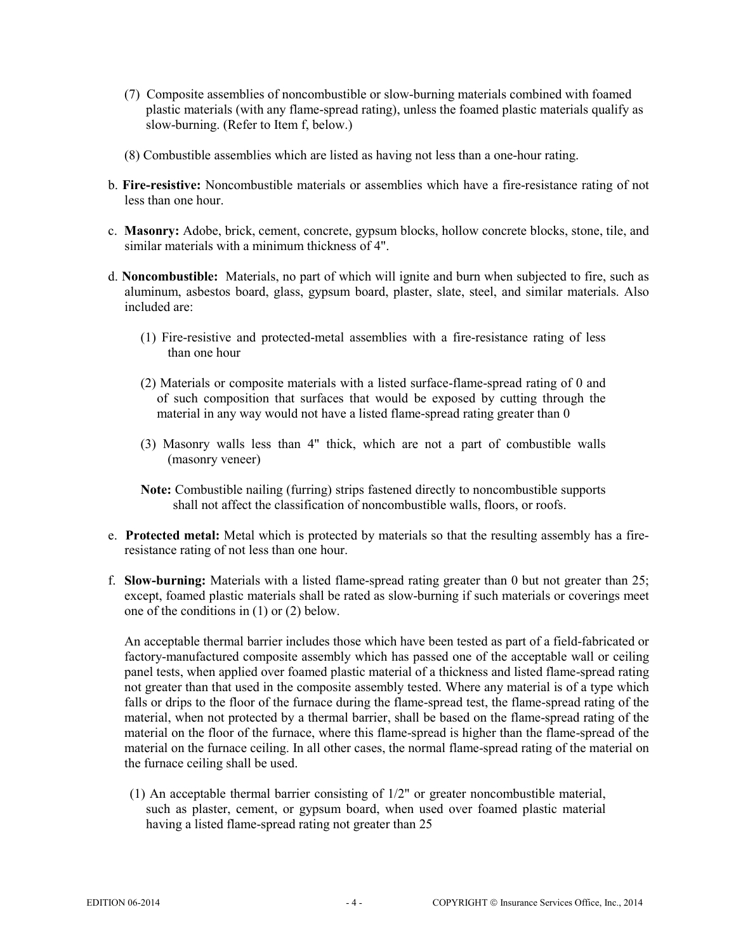- (7) Composite assemblies of noncombustible or slow-burning materials combined with foamed plastic materials (with any flame-spread rating), unless the foamed plastic materials qualify as slow-burning. (Refer to Item f, below.)
- (8) Combustible assemblies which are listed as having not less than a one-hour rating.
- b. **Fire-resistive:** Noncombustible materials or assemblies which have a fire-resistance rating of not less than one hour.
- c. **Masonry:** Adobe, brick, cement, concrete, gypsum blocks, hollow concrete blocks, stone, tile, and similar materials with a minimum thickness of 4".
- d. **Noncombustible:** Materials, no part of which will ignite and burn when subjected to fire, such as aluminum, asbestos board, glass, gypsum board, plaster, slate, steel, and similar materials. Also included are:
	- (1) Fire-resistive and protected-metal assemblies with a fire-resistance rating of less than one hour
	- (2) Materials or composite materials with a listed surface-flame-spread rating of 0 and of such composition that surfaces that would be exposed by cutting through the material in any way would not have a listed flame-spread rating greater than 0
	- (3) Masonry walls less than 4" thick, which are not a part of combustible walls (masonry veneer)

**Note:** Combustible nailing (furring) strips fastened directly to noncombustible supports shall not affect the classification of noncombustible walls, floors, or roofs.

- e. **Protected metal:** Metal which is protected by materials so that the resulting assembly has a fireresistance rating of not less than one hour.
- f. **Slow-burning:** Materials with a listed flame-spread rating greater than 0 but not greater than 25; except, foamed plastic materials shall be rated as slow-burning if such materials or coverings meet one of the conditions in (1) or (2) below.

An acceptable thermal barrier includes those which have been tested as part of a field-fabricated or factory-manufactured composite assembly which has passed one of the acceptable wall or ceiling panel tests, when applied over foamed plastic material of a thickness and listed flame-spread rating not greater than that used in the composite assembly tested. Where any material is of a type which falls or drips to the floor of the furnace during the flame-spread test, the flame-spread rating of the material, when not protected by a thermal barrier, shall be based on the flame-spread rating of the material on the floor of the furnace, where this flame-spread is higher than the flame-spread of the material on the furnace ceiling. In all other cases, the normal flame-spread rating of the material on the furnace ceiling shall be used.

(1) An acceptable thermal barrier consisting of 1/2" or greater noncombustible material, such as plaster, cement, or gypsum board, when used over foamed plastic material having a listed flame-spread rating not greater than 25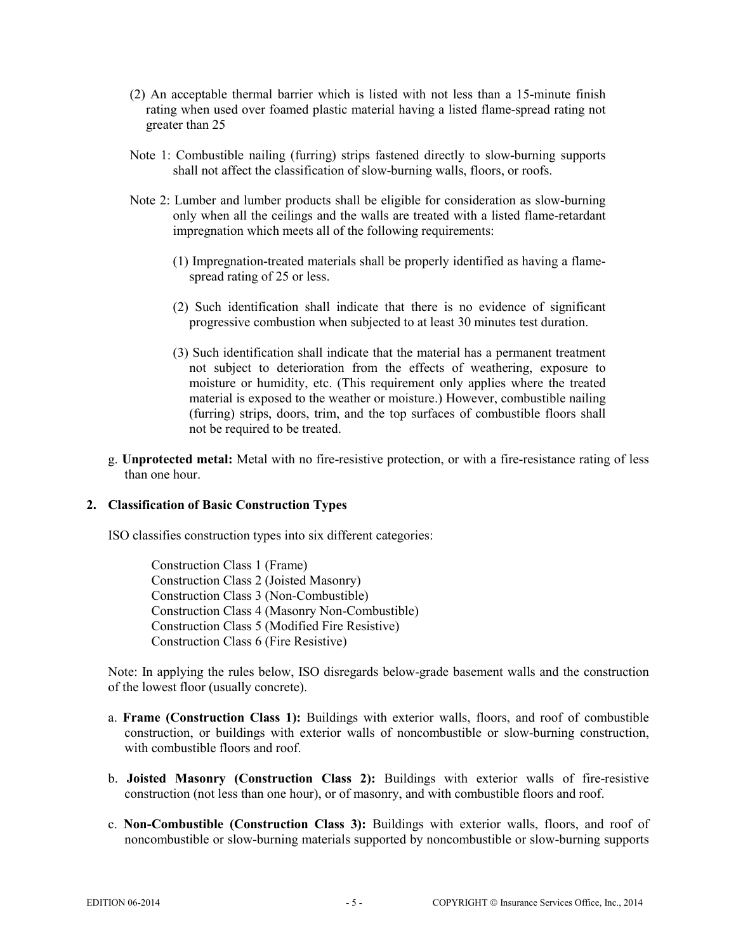- (2) An acceptable thermal barrier which is listed with not less than a 15-minute finish rating when used over foamed plastic material having a listed flame-spread rating not greater than 25
- Note 1: Combustible nailing (furring) strips fastened directly to slow-burning supports shall not affect the classification of slow-burning walls, floors, or roofs.
- Note 2: Lumber and lumber products shall be eligible for consideration as slow-burning only when all the ceilings and the walls are treated with a listed flame-retardant impregnation which meets all of the following requirements:
	- (1) Impregnation-treated materials shall be properly identified as having a flamespread rating of 25 or less.
	- (2) Such identification shall indicate that there is no evidence of significant progressive combustion when subjected to at least 30 minutes test duration.
	- (3) Such identification shall indicate that the material has a permanent treatment not subject to deterioration from the effects of weathering, exposure to moisture or humidity, etc. (This requirement only applies where the treated material is exposed to the weather or moisture.) However, combustible nailing (furring) strips, doors, trim, and the top surfaces of combustible floors shall not be required to be treated.
- g. **Unprotected metal:** Metal with no fire-resistive protection, or with a fire-resistance rating of less than one hour.

#### **2. Classification of Basic Construction Types**

ISO classifies construction types into six different categories:

Construction Class 1 (Frame) Construction Class 2 (Joisted Masonry) Construction Class 3 (Non-Combustible) Construction Class 4 (Masonry Non-Combustible) Construction Class 5 (Modified Fire Resistive) Construction Class 6 (Fire Resistive)

Note: In applying the rules below, ISO disregards below-grade basement walls and the construction of the lowest floor (usually concrete).

- a. **Frame (Construction Class 1):** Buildings with exterior walls, floors, and roof of combustible construction, or buildings with exterior walls of noncombustible or slow-burning construction, with combustible floors and roof.
- b. **Joisted Masonry (Construction Class 2):** Buildings with exterior walls of fire-resistive construction (not less than one hour), or of masonry, and with combustible floors and roof.
- c. **Non-Combustible (Construction Class 3):** Buildings with exterior walls, floors, and roof of noncombustible or slow-burning materials supported by noncombustible or slow-burning supports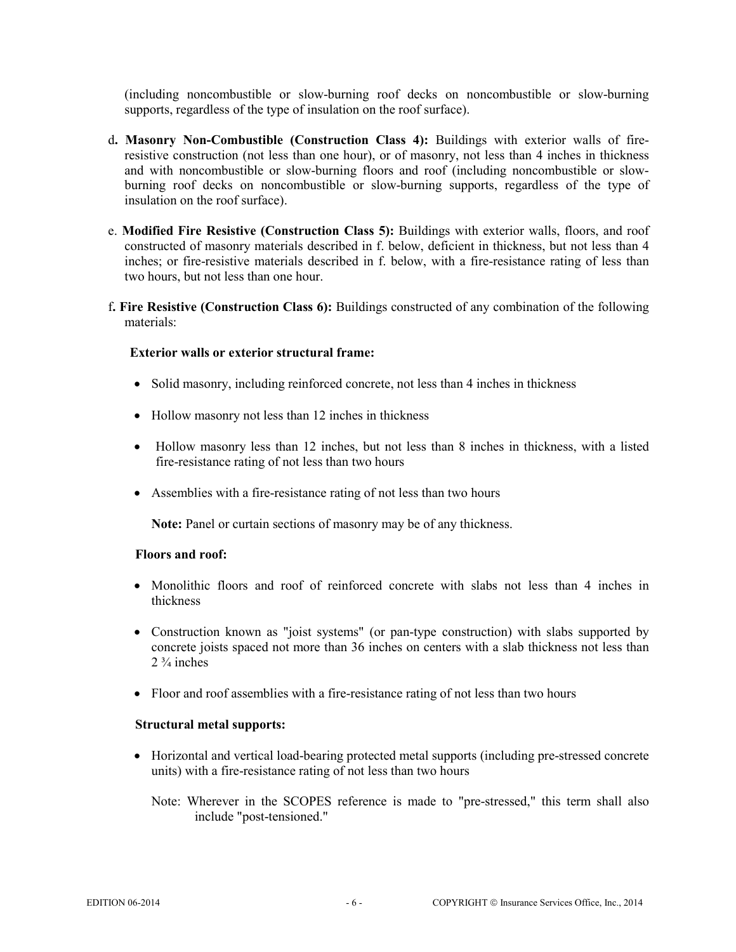(including noncombustible or slow-burning roof decks on noncombustible or slow-burning supports, regardless of the type of insulation on the roof surface).

- d**. Masonry Non-Combustible (Construction Class 4):** Buildings with exterior walls of fireresistive construction (not less than one hour), or of masonry, not less than 4 inches in thickness and with noncombustible or slow-burning floors and roof (including noncombustible or slowburning roof decks on noncombustible or slow-burning supports, regardless of the type of insulation on the roof surface).
- e. **Modified Fire Resistive (Construction Class 5):** Buildings with exterior walls, floors, and roof constructed of masonry materials described in f. below, deficient in thickness, but not less than 4 inches; or fire-resistive materials described in f. below, with a fire-resistance rating of less than two hours, but not less than one hour.
- f**. Fire Resistive (Construction Class 6):** Buildings constructed of any combination of the following materials:

## **Exterior walls or exterior structural frame:**

- Solid masonry, including reinforced concrete, not less than 4 inches in thickness
- Hollow masonry not less than 12 inches in thickness
- Hollow masonry less than 12 inches, but not less than 8 inches in thickness, with a listed fire-resistance rating of not less than two hours
- Assemblies with a fire-resistance rating of not less than two hours

**Note:** Panel or curtain sections of masonry may be of any thickness.

#### **Floors and roof:**

- Monolithic floors and roof of reinforced concrete with slabs not less than 4 inches in thickness
- Construction known as "joist systems" (or pan-type construction) with slabs supported by concrete joists spaced not more than 36 inches on centers with a slab thickness not less than  $2\frac{3}{4}$  inches
- Floor and roof assemblies with a fire-resistance rating of not less than two hours

#### **Structural metal supports:**

- Horizontal and vertical load-bearing protected metal supports (including pre-stressed concrete units) with a fire-resistance rating of not less than two hours
	- Note: Wherever in the SCOPES reference is made to "pre-stressed," this term shall also include "post-tensioned."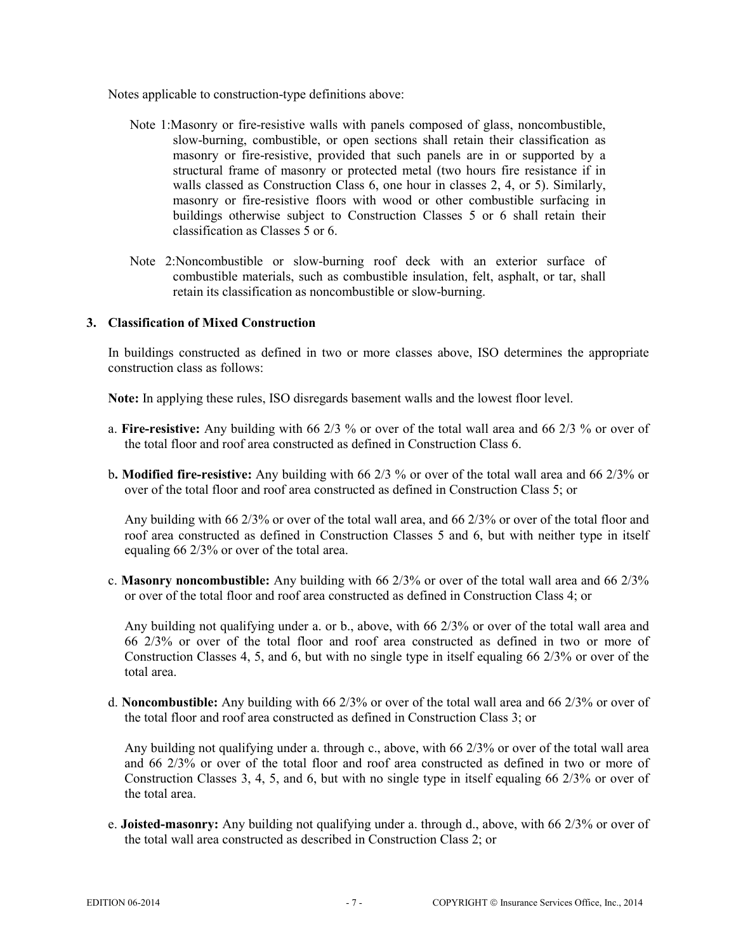Notes applicable to construction-type definitions above:

- Note 1:Masonry or fire-resistive walls with panels composed of glass, noncombustible, slow-burning, combustible, or open sections shall retain their classification as masonry or fire-resistive, provided that such panels are in or supported by a structural frame of masonry or protected metal (two hours fire resistance if in walls classed as Construction Class 6, one hour in classes 2, 4, or 5). Similarly, masonry or fire-resistive floors with wood or other combustible surfacing in buildings otherwise subject to Construction Classes 5 or 6 shall retain their classification as Classes 5 or 6.
- Note 2:Noncombustible or slow-burning roof deck with an exterior surface of combustible materials, such as combustible insulation, felt, asphalt, or tar, shall retain its classification as noncombustible or slow-burning.

## **3. Classification of Mixed Construction**

In buildings constructed as defined in two or more classes above, ISO determines the appropriate construction class as follows:

**Note:** In applying these rules, ISO disregards basement walls and the lowest floor level.

- a. **Fire-resistive:** Any building with 66 2/3 % or over of the total wall area and 66 2/3 % or over of the total floor and roof area constructed as defined in Construction Class 6.
- b**. Modified fire-resistive:** Any building with 66 2/3 % or over of the total wall area and 66 2/3% or over of the total floor and roof area constructed as defined in Construction Class 5; or

Any building with 66 2/3% or over of the total wall area, and 66 2/3% or over of the total floor and roof area constructed as defined in Construction Classes 5 and 6, but with neither type in itself equaling 66 2/3% or over of the total area.

c. **Masonry noncombustible:** Any building with 66 2/3% or over of the total wall area and 66 2/3% or over of the total floor and roof area constructed as defined in Construction Class 4; or

Any building not qualifying under a. or b., above, with 66 2/3% or over of the total wall area and 66 2/3% or over of the total floor and roof area constructed as defined in two or more of Construction Classes 4, 5, and 6, but with no single type in itself equaling 66 2/3% or over of the total area.

d. **Noncombustible:** Any building with 66 2/3% or over of the total wall area and 66 2/3% or over of the total floor and roof area constructed as defined in Construction Class 3; or

Any building not qualifying under a. through c., above, with 66 2/3% or over of the total wall area and 66 2/3% or over of the total floor and roof area constructed as defined in two or more of Construction Classes 3, 4, 5, and 6, but with no single type in itself equaling 66 2/3% or over of the total area.

e. **Joisted-masonry:** Any building not qualifying under a. through d., above, with 66 2/3% or over of the total wall area constructed as described in Construction Class 2; or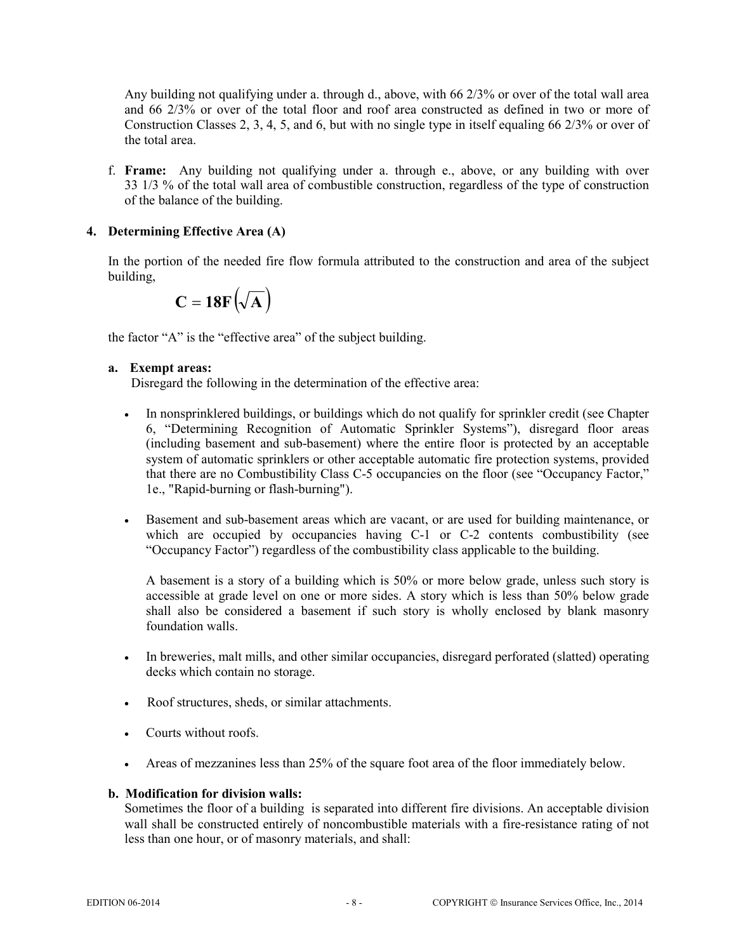Any building not qualifying under a. through d., above, with 66 2/3% or over of the total wall area and 66 2/3% or over of the total floor and roof area constructed as defined in two or more of Construction Classes 2, 3, 4, 5, and 6, but with no single type in itself equaling 66 2/3% or over of the total area.

f. **Frame:** Any building not qualifying under a. through e., above, or any building with over 33 1/3 % of the total wall area of combustible construction, regardless of the type of construction of the balance of the building.

## **4. Determining Effective Area (A)**

In the portion of the needed fire flow formula attributed to the construction and area of the subject building,

$$
C = 18F(\sqrt{A})
$$

the factor "A" is the "effective area" of the subject building.

## **a. Exempt areas:**

Disregard the following in the determination of the effective area:

- In nonsprinklered buildings, or buildings which do not qualify for sprinkler credit (see Chapter 6, "Determining Recognition of Automatic Sprinkler Systems"), disregard floor areas (including basement and sub-basement) where the entire floor is protected by an acceptable system of automatic sprinklers or other acceptable automatic fire protection systems, provided that there are no Combustibility Class C-5 occupancies on the floor (see "Occupancy Factor," 1e., "Rapid-burning or flash-burning").
- Basement and sub-basement areas which are vacant, or are used for building maintenance, or which are occupied by occupancies having C-1 or C-2 contents combustibility (see "Occupancy Factor") regardless of the combustibility class applicable to the building.

A basement is a story of a building which is 50% or more below grade, unless such story is accessible at grade level on one or more sides. A story which is less than 50% below grade shall also be considered a basement if such story is wholly enclosed by blank masonry foundation walls.

- In breweries, malt mills, and other similar occupancies, disregard perforated (slatted) operating decks which contain no storage.
- Roof structures, sheds, or similar attachments.
- Courts without roofs.
- Areas of mezzanines less than 25% of the square foot area of the floor immediately below.

## **b. Modification for division walls:**

Sometimes the floor of a building is separated into different fire divisions. An acceptable division wall shall be constructed entirely of noncombustible materials with a fire-resistance rating of not less than one hour, or of masonry materials, and shall: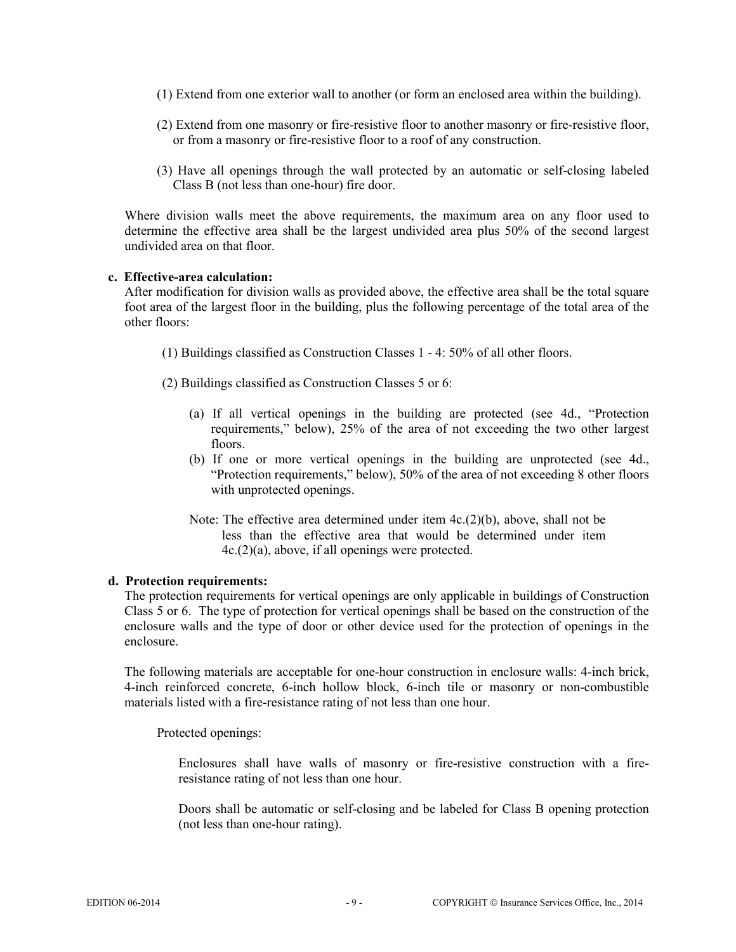- (1) Extend from one exterior wall to another (or form an enclosed area within the building).
- (2) Extend from one masonry or fire-resistive floor to another masonry or fire-resistive floor, or from a masonry or fire-resistive floor to a roof of any construction.
- (3) Have all openings through the wall protected by an automatic or self-closing labeled Class B (not less than one-hour) fire door.

Where division walls meet the above requirements, the maximum area on any floor used to determine the effective area shall be the largest undivided area plus 50% of the second largest undivided area on that floor.

#### **c. Effective-area calculation:**

After modification for division walls as provided above, the effective area shall be the total square foot area of the largest floor in the building, plus the following percentage of the total area of the other floors:

(1) Buildings classified as Construction Classes 1 - 4: 50% of all other floors.

(2) Buildings classified as Construction Classes 5 or 6:

- (a) If all vertical openings in the building are protected (see 4d., "Protection requirements," below), 25% of the area of not exceeding the two other largest floors.
- (b) If one or more vertical openings in the building are unprotected (see 4d., "Protection requirements," below), 50% of the area of not exceeding 8 other floors with unprotected openings.
- Note: The effective area determined under item 4c.(2)(b), above, shall not be less than the effective area that would be determined under item 4c.(2)(a), above, if all openings were protected.

#### **d. Protection requirements:**

The protection requirements for vertical openings are only applicable in buildings of Construction Class 5 or 6. The type of protection for vertical openings shall be based on the construction of the enclosure walls and the type of door or other device used for the protection of openings in the enclosure.

The following materials are acceptable for one-hour construction in enclosure walls: 4-inch brick, 4-inch reinforced concrete, 6-inch hollow block, 6-inch tile or masonry or non-combustible materials listed with a fire-resistance rating of not less than one hour.

Protected openings:

Enclosures shall have walls of masonry or fire-resistive construction with a fireresistance rating of not less than one hour.

Doors shall be automatic or self-closing and be labeled for Class B opening protection (not less than one-hour rating).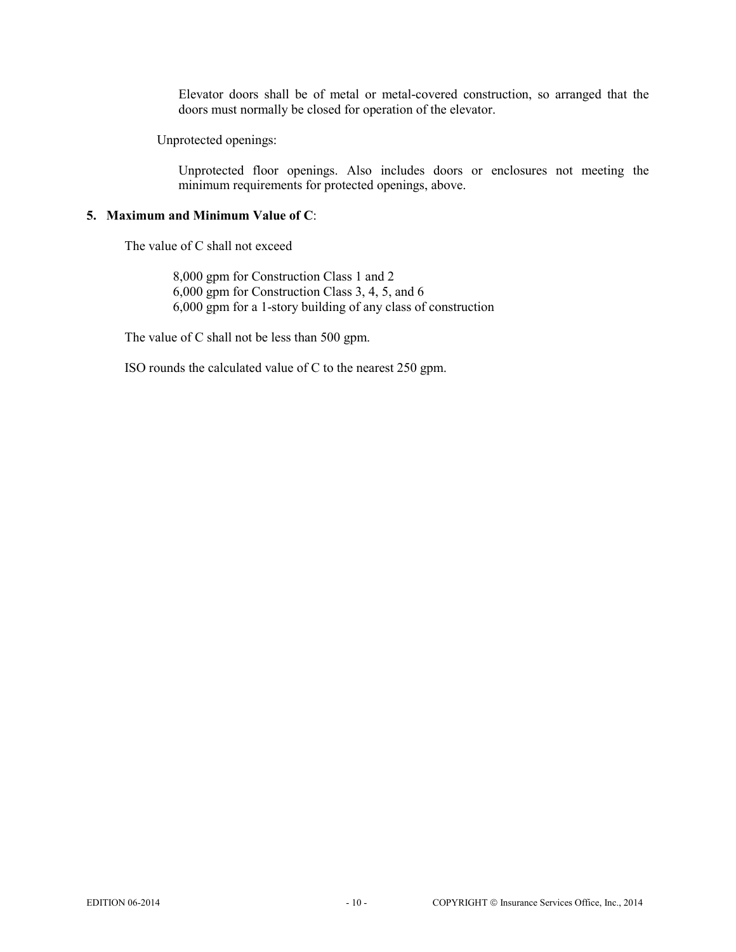Elevator doors shall be of metal or metal-covered construction, so arranged that the doors must normally be closed for operation of the elevator.

Unprotected openings:

Unprotected floor openings. Also includes doors or enclosures not meeting the minimum requirements for protected openings, above.

#### **5. Maximum and Minimum Value of C**:

The value of C shall not exceed

 8,000 gpm for Construction Class 1 and 2 6,000 gpm for Construction Class 3, 4, 5, and 6 6,000 gpm for a 1-story building of any class of construction

The value of C shall not be less than 500 gpm.

ISO rounds the calculated value of C to the nearest 250 gpm.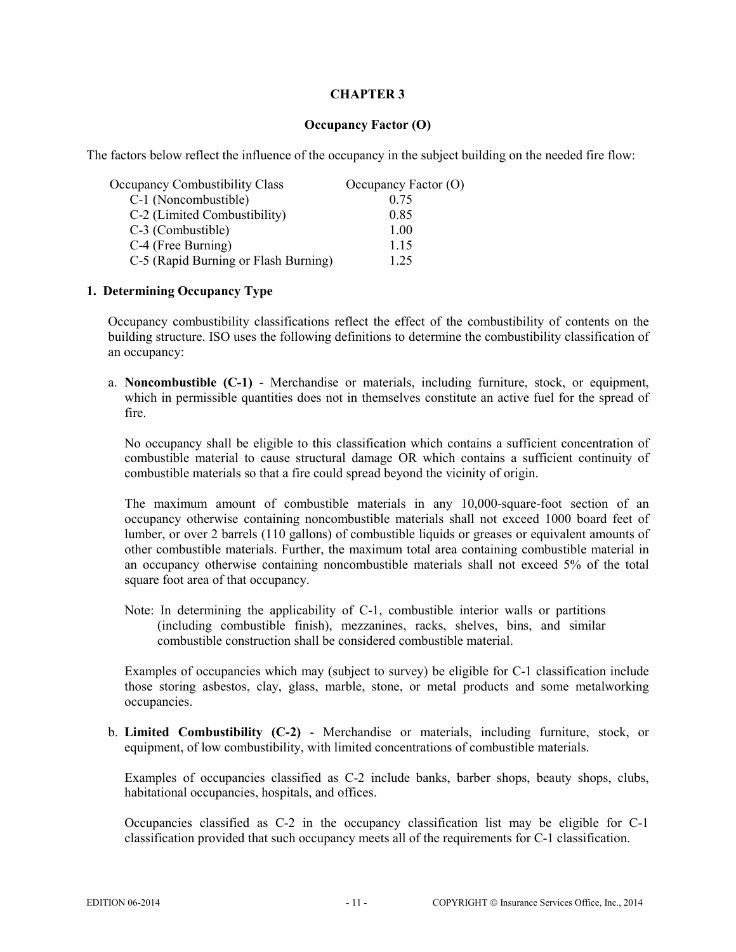#### **Occupancy Factor (O)**

The factors below reflect the influence of the occupancy in the subject building on the needed fire flow:

| <b>Occupancy Combustibility Class</b> | Occupancy Factor (O) |
|---------------------------------------|----------------------|
| C-1 (Noncombustible)                  | 0.75                 |
| C-2 (Limited Combustibility)          | 0.85                 |
| C-3 (Combustible)                     | 1.00                 |
| C-4 (Free Burning)                    | 1.15                 |
| C-5 (Rapid Burning or Flash Burning)  | 1 25                 |

#### **1. Determining Occupancy Type**

Occupancy combustibility classifications reflect the effect of the combustibility of contents on the building structure. ISO uses the following definitions to determine the combustibility classification of an occupancy:

a. **Noncombustible (C-1)** - Merchandise or materials, including furniture, stock, or equipment, which in permissible quantities does not in themselves constitute an active fuel for the spread of fire.

No occupancy shall be eligible to this classification which contains a sufficient concentration of combustible material to cause structural damage OR which contains a sufficient continuity of combustible materials so that a fire could spread beyond the vicinity of origin.

The maximum amount of combustible materials in any 10,000-square-foot section of an occupancy otherwise containing noncombustible materials shall not exceed 1000 board feet of lumber, or over 2 barrels (110 gallons) of combustible liquids or greases or equivalent amounts of other combustible materials. Further, the maximum total area containing combustible material in an occupancy otherwise containing noncombustible materials shall not exceed 5% of the total square foot area of that occupancy.

Note: In determining the applicability of C-1, combustible interior walls or partitions (including combustible finish), mezzanines, racks, shelves, bins, and similar combustible construction shall be considered combustible material.

Examples of occupancies which may (subject to survey) be eligible for C-1 classification include those storing asbestos, clay, glass, marble, stone, or metal products and some metalworking occupancies.

b. **Limited Combustibility (C-2)** - Merchandise or materials, including furniture, stock, or equipment, of low combustibility, with limited concentrations of combustible materials.

Examples of occupancies classified as C-2 include banks, barber shops, beauty shops, clubs, habitational occupancies, hospitals, and offices.

Occupancies classified as C-2 in the occupancy classification list may be eligible for C-1 classification provided that such occupancy meets all of the requirements for C-1 classification.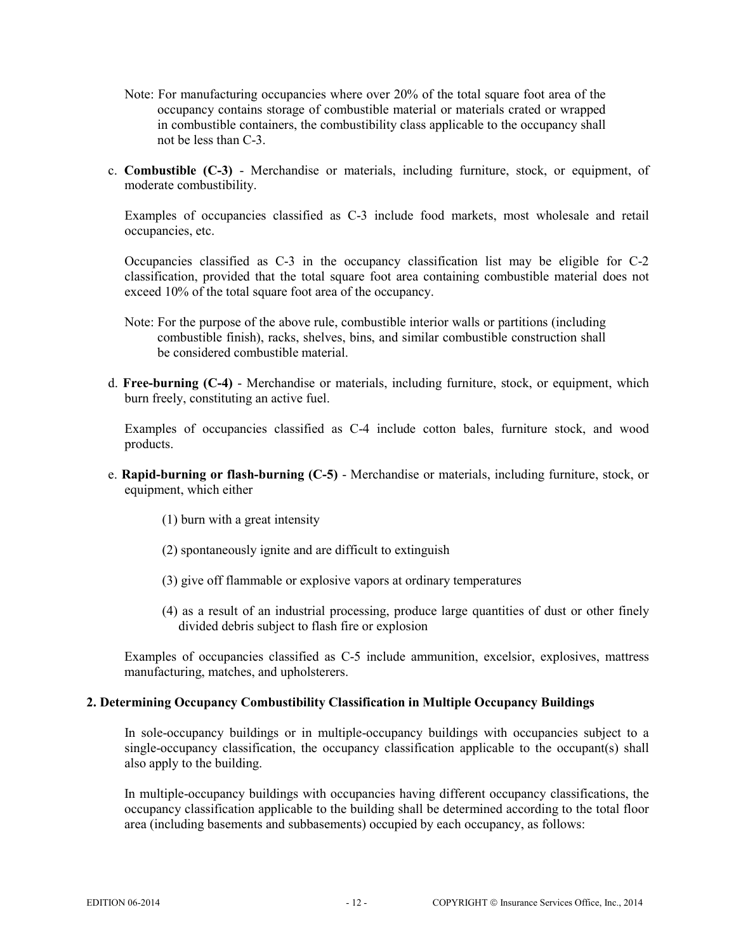- Note: For manufacturing occupancies where over 20% of the total square foot area of the occupancy contains storage of combustible material or materials crated or wrapped in combustible containers, the combustibility class applicable to the occupancy shall not be less than C-3.
- c. **Combustible (C-3)** Merchandise or materials, including furniture, stock, or equipment, of moderate combustibility.

Examples of occupancies classified as C-3 include food markets, most wholesale and retail occupancies, etc.

Occupancies classified as C-3 in the occupancy classification list may be eligible for C-2 classification, provided that the total square foot area containing combustible material does not exceed 10% of the total square foot area of the occupancy.

- Note: For the purpose of the above rule, combustible interior walls or partitions (including combustible finish), racks, shelves, bins, and similar combustible construction shall be considered combustible material.
- d. **Free-burning (C-4)** Merchandise or materials, including furniture, stock, or equipment, which burn freely, constituting an active fuel.

Examples of occupancies classified as C-4 include cotton bales, furniture stock, and wood products.

- e. **Rapid-burning or flash-burning (C-5)**  Merchandise or materials, including furniture, stock, or equipment, which either
	- (1) burn with a great intensity
	- (2) spontaneously ignite and are difficult to extinguish
	- (3) give off flammable or explosive vapors at ordinary temperatures
	- (4) as a result of an industrial processing, produce large quantities of dust or other finely divided debris subject to flash fire or explosion

Examples of occupancies classified as C-5 include ammunition, excelsior, explosives, mattress manufacturing, matches, and upholsterers.

#### **2. Determining Occupancy Combustibility Classification in Multiple Occupancy Buildings**

In sole-occupancy buildings or in multiple-occupancy buildings with occupancies subject to a single-occupancy classification, the occupancy classification applicable to the occupant(s) shall also apply to the building.

In multiple-occupancy buildings with occupancies having different occupancy classifications, the occupancy classification applicable to the building shall be determined according to the total floor area (including basements and subbasements) occupied by each occupancy, as follows: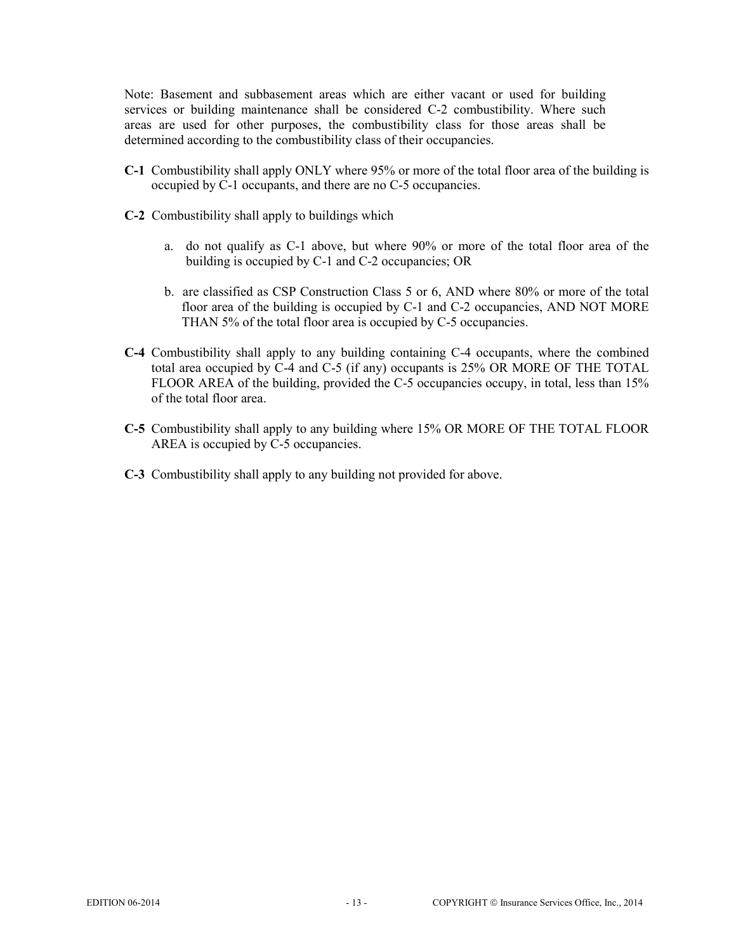Note: Basement and subbasement areas which are either vacant or used for building services or building maintenance shall be considered C-2 combustibility. Where such areas are used for other purposes, the combustibility class for those areas shall be determined according to the combustibility class of their occupancies.

- **C-1** Combustibility shall apply ONLY where 95% or more of the total floor area of the building is occupied by C-1 occupants, and there are no C-5 occupancies.
- **C-2** Combustibility shall apply to buildings which
	- a. do not qualify as C-1 above, but where 90% or more of the total floor area of the building is occupied by C-1 and C-2 occupancies; OR
	- b. are classified as CSP Construction Class 5 or 6, AND where 80% or more of the total floor area of the building is occupied by C-1 and C-2 occupancies, AND NOT MORE THAN 5% of the total floor area is occupied by C-5 occupancies.
- **C-4** Combustibility shall apply to any building containing C-4 occupants, where the combined total area occupied by C-4 and C-5 (if any) occupants is 25% OR MORE OF THE TOTAL FLOOR AREA of the building, provided the C-5 occupancies occupy, in total, less than 15% of the total floor area.
- **C-5** Combustibility shall apply to any building where 15% OR MORE OF THE TOTAL FLOOR AREA is occupied by  $\tilde{C}$ -5 occupancies.
- **C-3** Combustibility shall apply to any building not provided for above.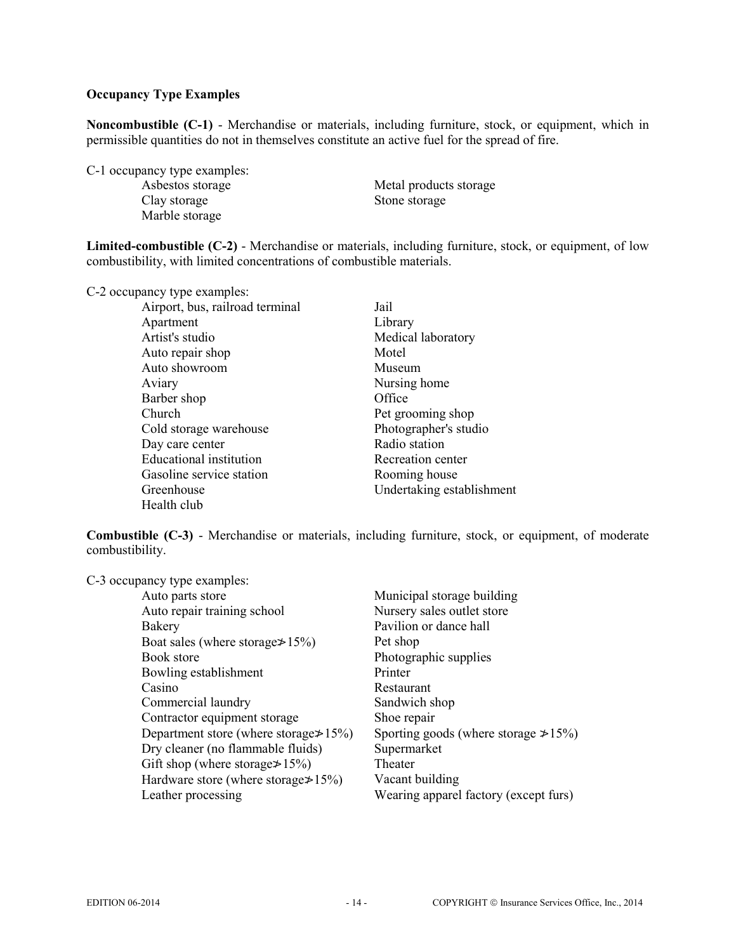## **Occupancy Type Examples**

**Noncombustible (C-1)** - Merchandise or materials, including furniture, stock, or equipment, which in permissible quantities do not in themselves constitute an active fuel for the spread of fire.

C-1 occupancy type examples:

Clay storage Stone storage Marble storage

Metal products storage

**Limited-combustible (C-2)** - Merchandise or materials, including furniture, stock, or equipment, of low combustibility, with limited concentrations of combustible materials.

C-2 occupancy type examples:

| Airport, bus, railroad terminal | Jail                      |
|---------------------------------|---------------------------|
| Apartment                       | Library                   |
| Artist's studio                 | Medical laboratory        |
| Auto repair shop                | Motel                     |
| Auto showroom                   | Museum                    |
| Aviary                          | Nursing home              |
| Barber shop                     | Office                    |
| <b>Church</b>                   | Pet grooming shop         |
| Cold storage warehouse          | Photographer's studio     |
| Day care center                 | Radio station             |
| <b>Educational</b> institution  | Recreation center         |
| Gasoline service station        | Rooming house             |
| Greenhouse                      | Undertaking establishment |
| Health club                     |                           |

**Combustible (C-3)** - Merchandise or materials, including furniture, stock, or equipment, of moderate combustibility.

C-3 occupancy type examples:

| Auto parts store                              | Municipal storage building                  |
|-----------------------------------------------|---------------------------------------------|
| Auto repair training school                   | Nursery sales outlet store                  |
| Bakery                                        | Pavilion or dance hall                      |
| Boat sales (where storage $\geq 15\%$ )       | Pet shop                                    |
| Book store                                    | Photographic supplies                       |
| Bowling establishment                         | Printer                                     |
| Casino                                        | Restaurant                                  |
| Commercial laundry                            | Sandwich shop                               |
| Contractor equipment storage                  | Shoe repair                                 |
| Department store (where storage $\geq 15\%$ ) | Sporting goods (where storage $\geq 15\%$ ) |
| Dry cleaner (no flammable fluids)             | Supermarket                                 |
| Gift shop (where storage $\geq 15\%$ )        | Theater                                     |
| Hardware store (where storage $\geq 15\%$ )   | Vacant building                             |
| Leather processing                            | Wearing apparel factory (except furs)       |
|                                               |                                             |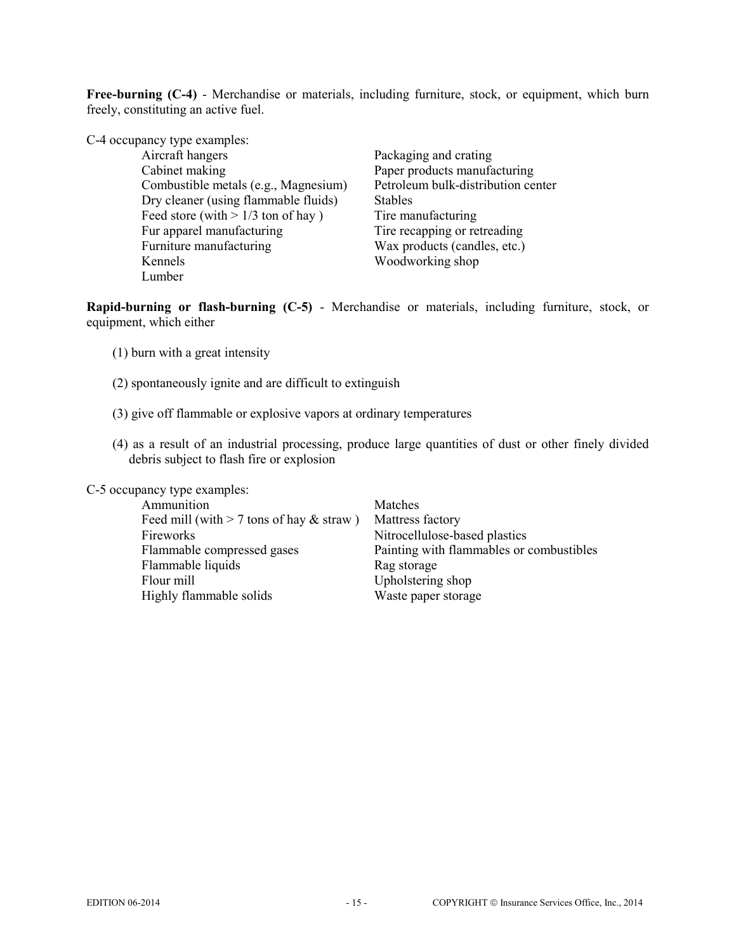**Free-burning (C-4)** - Merchandise or materials, including furniture, stock, or equipment, which burn freely, constituting an active fuel.

| C-4 occupancy type examples:         |                                    |
|--------------------------------------|------------------------------------|
| Aircraft hangers                     | Packaging and crating              |
| Cabinet making                       | Paper products manufacturing       |
| Combustible metals (e.g., Magnesium) | Petroleum bulk-distribution center |
| Dry cleaner (using flammable fluids) | <b>Stables</b>                     |
| Feed store (with $> 1/3$ ton of hay) | Tire manufacturing                 |
| Fur apparel manufacturing            | Tire recapping or retreading       |
| Furniture manufacturing              | Wax products (candles, etc.)       |
| Kennels                              | Woodworking shop                   |
| Lumber                               |                                    |

**Rapid-burning or flash-burning (C-5)** - Merchandise or materials, including furniture, stock, or equipment, which either

- (1) burn with a great intensity
- (2) spontaneously ignite and are difficult to extinguish
- (3) give off flammable or explosive vapors at ordinary temperatures
- (4) as a result of an industrial processing, produce large quantities of dust or other finely divided debris subject to flash fire or explosion

C-5 occupancy type examples:

| Matches                                  |
|------------------------------------------|
| Mattress factory                         |
| Nitrocellulose-based plastics            |
| Painting with flammables or combustibles |
| Rag storage                              |
| Upholstering shop                        |
| Waste paper storage                      |
|                                          |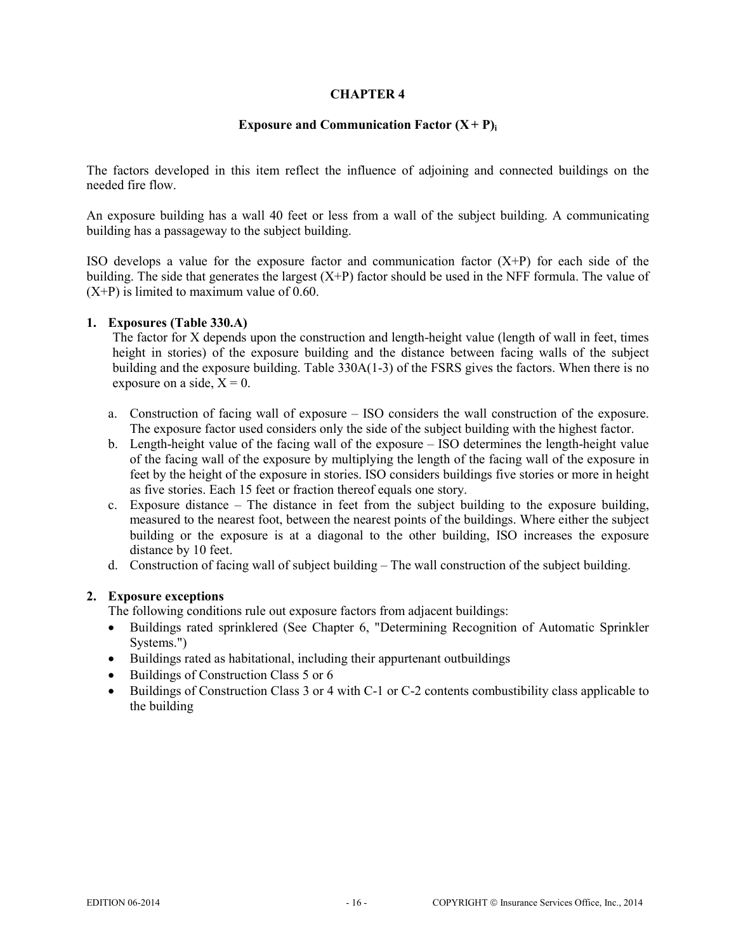#### **Exposure and Communication Factor**  $(X + P)$

The factors developed in this item reflect the influence of adjoining and connected buildings on the needed fire flow.

An exposure building has a wall 40 feet or less from a wall of the subject building. A communicating building has a passageway to the subject building.

ISO develops a value for the exposure factor and communication factor  $(X+P)$  for each side of the building. The side that generates the largest  $(X+P)$  factor should be used in the NFF formula. The value of  $(X+P)$  is limited to maximum value of 0.60.

#### **1. Exposures (Table 330.A)**

The factor for X depends upon the construction and length-height value (length of wall in feet, times height in stories) of the exposure building and the distance between facing walls of the subject building and the exposure building. Table 330A(1-3) of the FSRS gives the factors. When there is no exposure on a side,  $X = 0$ .

- a. Construction of facing wall of exposure ISO considers the wall construction of the exposure. The exposure factor used considers only the side of the subject building with the highest factor.
- b. Length-height value of the facing wall of the exposure ISO determines the length-height value of the facing wall of the exposure by multiplying the length of the facing wall of the exposure in feet by the height of the exposure in stories. ISO considers buildings five stories or more in height as five stories. Each 15 feet or fraction thereof equals one story.
- c. Exposure distance The distance in feet from the subject building to the exposure building, measured to the nearest foot, between the nearest points of the buildings. Where either the subject building or the exposure is at a diagonal to the other building, ISO increases the exposure distance by 10 feet.
- d. Construction of facing wall of subject building The wall construction of the subject building.

## **2. Exposure exceptions**

The following conditions rule out exposure factors from adjacent buildings:

- Buildings rated sprinklered (See Chapter 6, "Determining Recognition of Automatic Sprinkler Systems.")
- Buildings rated as habitational, including their appurtenant outbuildings
- Buildings of Construction Class 5 or 6
- Buildings of Construction Class 3 or 4 with C-1 or C-2 contents combustibility class applicable to the building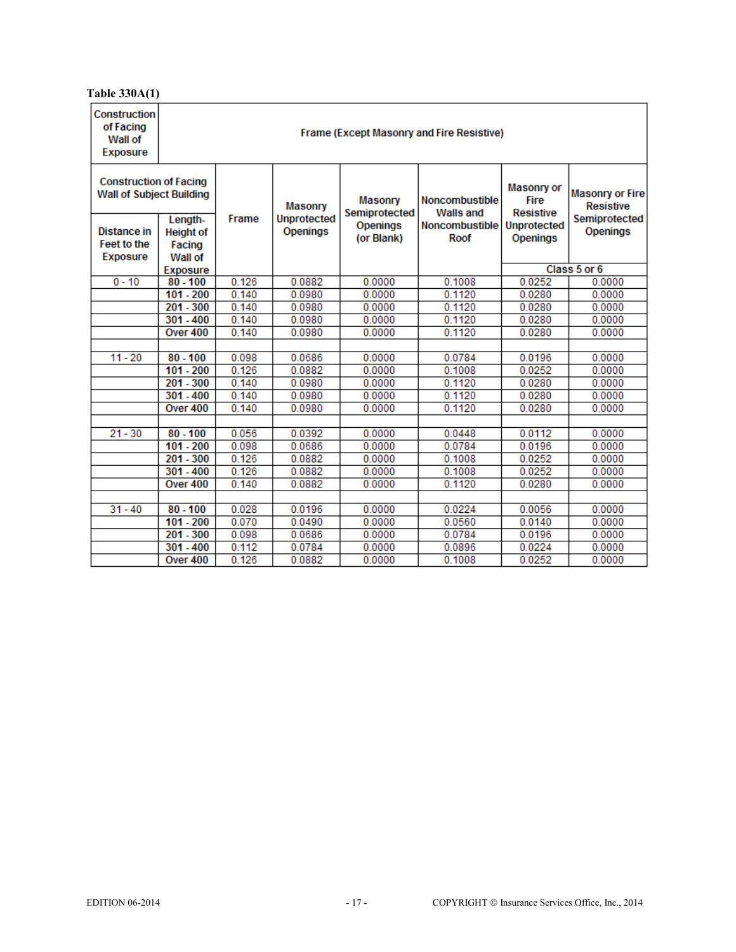# **Table 330A(1)**

| <b>Construction</b><br>of Facing<br>Wall of<br><b>Exposure</b>   | Frame (Except Masonry and Fire Resistive) |       |                                      |                                 |                                           |                                                      |                                            |  |  |  |
|------------------------------------------------------------------|-------------------------------------------|-------|--------------------------------------|---------------------------------|-------------------------------------------|------------------------------------------------------|--------------------------------------------|--|--|--|
| <b>Construction of Facing</b><br><b>Wall of Subject Building</b> |                                           | Frame | <b>Masonry</b><br><b>Unprotected</b> | <b>Masonry</b><br>Semiprotected | <b>Noncombustible</b><br><b>Walls and</b> | <b>Masonry or</b><br><b>Fire</b><br><b>Resistive</b> | <b>Masonry or Fire</b><br><b>Resistive</b> |  |  |  |
| Distance in                                                      | Length-<br><b>Height of</b>               |       | <b>Openings</b>                      | <b>Openings</b>                 | Noncombustible                            | <b>Unprotected</b>                                   | Semiprotected<br><b>Openings</b>           |  |  |  |
| <b>Feet to the</b>                                               | Facing                                    |       |                                      | (or Blank)                      | Roof                                      | <b>Openings</b>                                      |                                            |  |  |  |
| <b>Exposure</b>                                                  | Wall of                                   |       |                                      |                                 |                                           |                                                      |                                            |  |  |  |
|                                                                  | <b>Exposure</b>                           |       |                                      |                                 |                                           | Class 5 or 6                                         |                                            |  |  |  |
| $0 - 10$                                                         | $80 - 100$                                | 0.126 | 0.0882                               | 0.0000                          | 0.1008                                    | 0.0252                                               | 0.0000                                     |  |  |  |
|                                                                  | $101 - 200$                               | 0.140 | 0.0980                               | 0.0000                          | 0.1120                                    | 0.0280                                               | 0.0000                                     |  |  |  |
|                                                                  | $201 - 300$                               | 0.140 | 0.0980                               | 0.0000                          | 0.1120                                    | 0.0280                                               | 0.0000                                     |  |  |  |
|                                                                  | $301 - 400$                               | 0.140 | 0.0980                               | 0.0000                          | 0.1120                                    | 0.0280                                               | 0.0000                                     |  |  |  |
| Over 400                                                         |                                           | 0.140 | 0.0980                               | 0.0000                          | 0.1120                                    | 0.0280                                               | 0.0000                                     |  |  |  |
|                                                                  |                                           |       |                                      |                                 |                                           |                                                      |                                            |  |  |  |
| $11 - 20$                                                        | $80 - 100$                                | 0.098 | 0.0686                               | 0.0000                          | 0.0784                                    | 0.0196                                               | 0.0000                                     |  |  |  |
|                                                                  | $101 - 200$                               | 0.126 | 0.0882                               | 0.0000                          | 0.1008                                    | 0.0252                                               | 0.0000                                     |  |  |  |
|                                                                  | $201 - 300$                               | 0.140 | 0.0980                               | 0.0000                          | 0.1120                                    | 0.0280                                               | 0.0000                                     |  |  |  |
|                                                                  | $301 - 400$                               | 0.140 | 0.0980                               | 0.0000                          | 0.1120                                    | 0.0280                                               | 0.0000                                     |  |  |  |
|                                                                  | Over 400                                  | 0.140 | 0.0980                               | 0.0000                          | 0.1120                                    | 0.0280                                               | 0.0000                                     |  |  |  |
|                                                                  |                                           |       |                                      |                                 |                                           |                                                      |                                            |  |  |  |
| $21 - 30$                                                        | $80 - 100$                                | 0.056 | 0.0392                               | 0.0000                          | 0.0448                                    | 0.0112                                               | 0.0000                                     |  |  |  |
|                                                                  | $101 - 200$                               | 0.098 | 0.0686                               | 0.0000                          | 0.0784                                    | 0.0196                                               | 0.0000                                     |  |  |  |
|                                                                  | $201 - 300$                               | 0.126 | 0.0882                               | 0.0000                          | 0.1008                                    | 0.0252                                               | 0.0000                                     |  |  |  |
|                                                                  | $301 - 400$<br>0.126                      |       | 0.0882                               | 0.0000                          | 0.1008                                    | 0.0252                                               | 0.0000                                     |  |  |  |
|                                                                  | Over 400                                  | 0.140 | 0.0882                               | 0.0000                          | 0.1120                                    | 0.0280                                               | 0.0000                                     |  |  |  |
| $31 - 40$                                                        | $80 - 100$                                | 0.028 | 0.0196                               | 0.0000                          | 0.0224                                    | 0.0056                                               | 0.0000                                     |  |  |  |
|                                                                  | $101 - 200$                               | 0.070 | 0.0490                               | 0.0000                          | 0.0560                                    | 0.0140                                               | 0.0000                                     |  |  |  |
|                                                                  | $201 - 300$                               | 0.098 | 0.0686                               | 0.0000                          | 0.0784                                    | 0.0196                                               | 0.0000                                     |  |  |  |
|                                                                  | $301 - 400$                               | 0.112 | 0.0784                               | 0.0000                          | 0.0896                                    | 0.0224                                               | 0.0000                                     |  |  |  |
|                                                                  | Over 400                                  | 0.126 | 0.0882                               | 0.0000                          | 0.1008                                    | 0.0252                                               | 0.0000                                     |  |  |  |
|                                                                  |                                           |       |                                      |                                 |                                           |                                                      |                                            |  |  |  |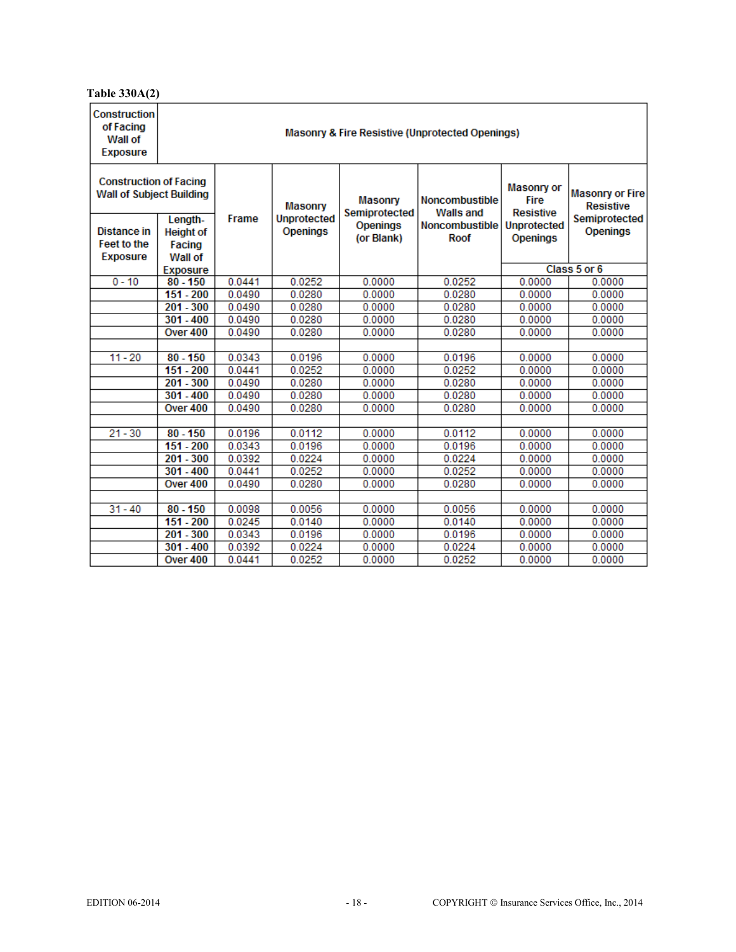# **Table 330A(2)**

| <b>Construction</b><br>of Facing<br>Wall of<br><b>Exposure</b>   | <b>Masonry &amp; Fire Resistive (Unprotected Openings)</b> |                  |                                      |                                 |                                           |                                               |                                            |  |  |  |
|------------------------------------------------------------------|------------------------------------------------------------|------------------|--------------------------------------|---------------------------------|-------------------------------------------|-----------------------------------------------|--------------------------------------------|--|--|--|
| <b>Construction of Facing</b><br><b>Wall of Subject Building</b> |                                                            | Frame            | <b>Masonry</b><br><b>Unprotected</b> | <b>Masonry</b><br>Semiprotected | <b>Noncombustible</b><br><b>Walls and</b> | Masonry or<br><b>Fire</b><br><b>Resistive</b> | <b>Masonry or Fire</b><br><b>Resistive</b> |  |  |  |
| Distance in                                                      | Length-<br><b>Height of</b>                                |                  | <b>Openings</b>                      | <b>Openings</b>                 | Noncombustible                            | <b>Unprotected</b>                            | Semiprotected<br><b>Openings</b>           |  |  |  |
| <b>Feet to the</b>                                               | Facing                                                     |                  |                                      | (or Blank)                      | Roof                                      | <b>Openings</b>                               |                                            |  |  |  |
| <b>Exposure</b>                                                  | Wall of                                                    |                  |                                      |                                 |                                           |                                               |                                            |  |  |  |
|                                                                  | <b>Exposure</b>                                            |                  |                                      |                                 |                                           | Class 5 or 6                                  |                                            |  |  |  |
| $0 - 10$                                                         | $80 - 150$                                                 | 0.0441           | 0.0252                               | 0.0000                          | 0.0252                                    | 0.0000                                        | 0.0000                                     |  |  |  |
|                                                                  | 151 - 200                                                  | 0.0490           | 0.0280                               | 0.0000                          | 0.0280                                    | 0.0000                                        | 0.0000                                     |  |  |  |
|                                                                  | $201 - 300$                                                | 0.0490           | 0.0280                               | 0.0000                          | 0.0280                                    | 0.0000                                        | 0.0000                                     |  |  |  |
|                                                                  | $301 - 400$                                                | 0.0490           | 0.0280                               | 0.0000                          | 0.0280                                    | 0.0000                                        | 0.0000                                     |  |  |  |
|                                                                  | Over 400                                                   | 0.0490           | 0.0280                               | 0.0000                          | 0.0280                                    | 0.0000                                        | 0.0000                                     |  |  |  |
|                                                                  |                                                            |                  |                                      |                                 |                                           |                                               |                                            |  |  |  |
| $11 - 20$                                                        | $80 - 150$                                                 | 0.0343           | 0.0196                               | 0.0000                          | 0.0196                                    | 0.0000                                        | 0.0000                                     |  |  |  |
|                                                                  | $151 - 200$                                                | 0.0441           | 0.0252                               | 0.0000                          | 0.0252                                    | 0.0000                                        | 0.0000                                     |  |  |  |
|                                                                  | $201 - 300$                                                | 0.0490           | 0.0280                               | 0.0000                          | 0.0280                                    | 0.0000                                        | 0.0000                                     |  |  |  |
|                                                                  | $301 - 400$                                                | 0.0490           | 0.0280                               | 0.0000                          | 0.0280                                    | 0.0000                                        | 0.0000                                     |  |  |  |
|                                                                  | Over 400                                                   | 0.0490           | 0.0280                               | 0.0000                          | 0.0280                                    | 0.0000                                        | 0.0000                                     |  |  |  |
|                                                                  |                                                            |                  |                                      |                                 |                                           |                                               |                                            |  |  |  |
| $21 - 30$                                                        | $80 - 150$<br>$151 - 200$                                  | 0.0196<br>0.0343 | 0.0112<br>0.0196                     | 0.0000<br>0.0000                | 0.0112<br>0.0196                          | 0.0000<br>0.0000                              | 0.0000<br>0.0000                           |  |  |  |
|                                                                  | $201 - 300$                                                | 0.0392           | 0.0224                               | 0.0000                          | 0.0224                                    | 0.0000                                        | 0.0000                                     |  |  |  |
|                                                                  | $301 - 400$                                                | 0.0441           | 0.0252                               | 0.0000                          | 0.0252                                    | 0.0000                                        | 0.0000                                     |  |  |  |
|                                                                  | Over 400                                                   | 0.0490           | 0.0280                               | 0.0000                          | 0.0280                                    | 0.0000                                        | 0.0000                                     |  |  |  |
|                                                                  |                                                            |                  |                                      |                                 |                                           |                                               |                                            |  |  |  |
| $31 - 40$                                                        | $80 - 150$                                                 | 0.0098           | 0.0056                               | 0.0000                          | 0.0056                                    | 0.0000                                        | 0.0000                                     |  |  |  |
|                                                                  | $151 - 200$                                                | 0.0245           | 0.0140                               | 0.0000                          | 0.0140                                    | 0.0000                                        | 0.0000                                     |  |  |  |
|                                                                  | $201 - 300$                                                | 0.0343           | 0.0196                               | 0.0000                          | 0.0196                                    | 0.0000                                        | 0.0000                                     |  |  |  |
|                                                                  | $301 - 400$                                                | 0.0392           | 0.0224                               | 0.0000                          | 0.0224                                    | 0.0000                                        | 0.0000                                     |  |  |  |
|                                                                  | Over 400                                                   | 0.0441           | 0.0252                               | 0.0000                          | 0.0252                                    | 0.0000                                        | 0.0000                                     |  |  |  |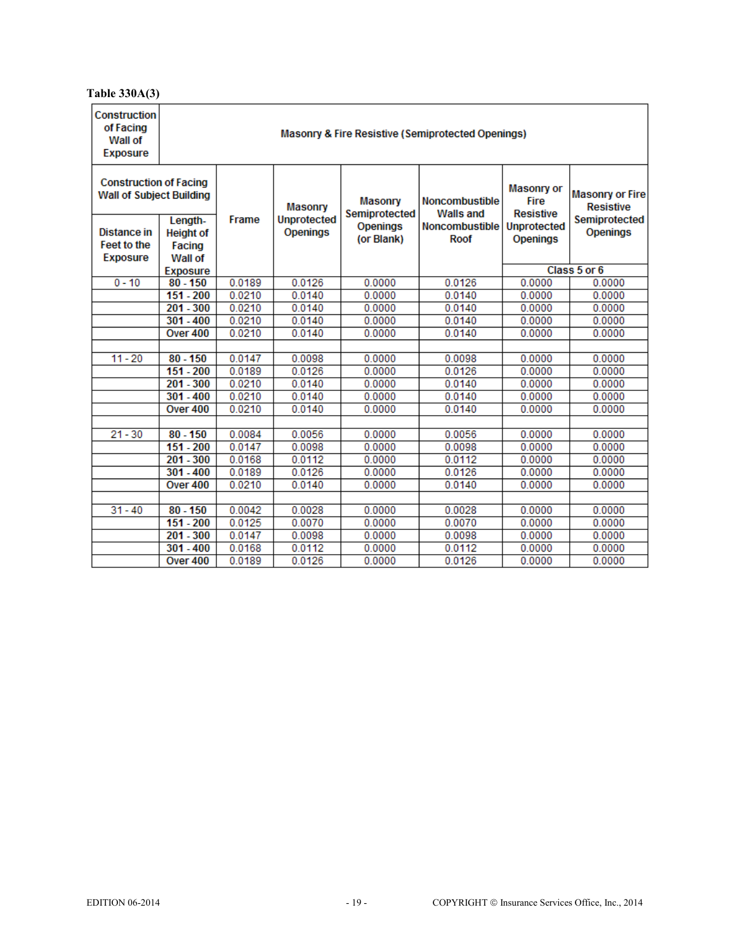# **Table 330A(3)**

| <b>Construction</b><br>of Facing<br>Wall of<br><b>Exposure</b>   | <b>Masonry &amp; Fire Resistive (Semiprotected Openings)</b> |        |                                       |                                 |                                           |                                                      |                                            |  |  |  |
|------------------------------------------------------------------|--------------------------------------------------------------|--------|---------------------------------------|---------------------------------|-------------------------------------------|------------------------------------------------------|--------------------------------------------|--|--|--|
| <b>Construction of Facing</b><br><b>Wall of Subject Building</b> |                                                              |        | <b>Masonry</b>                        | <b>Masonry</b><br>Semiprotected | <b>Noncombustible</b><br><b>Walls and</b> | <b>Masonry or</b><br><b>Fire</b><br><b>Resistive</b> | <b>Masonry or Fire</b><br><b>Resistive</b> |  |  |  |
| <b>Distance in</b>                                               | Length-<br><b>Height of</b>                                  | Frame  | <b>Unprotected</b><br><b>Openings</b> | <b>Openings</b>                 | <b>Noncombustible</b>                     | <b>Unprotected</b>                                   | Semiprotected<br><b>Openings</b>           |  |  |  |
| <b>Feet to the</b>                                               | Facing                                                       |        |                                       | (or Blank)                      | Roof                                      | <b>Openings</b>                                      |                                            |  |  |  |
| <b>Exposure</b>                                                  | Wall of                                                      |        |                                       |                                 |                                           |                                                      |                                            |  |  |  |
|                                                                  | <b>Exposure</b>                                              |        |                                       |                                 |                                           | Class 5 or 6                                         |                                            |  |  |  |
| $0 - 10$                                                         | $80 - 150$                                                   | 0.0189 | 0.0126                                | 0.0000                          | 0.0126                                    | 0.0000                                               | 0.0000                                     |  |  |  |
|                                                                  | $151 - 200$                                                  | 0.0210 | 0.0140                                | 0.0000                          | 0.0140                                    | 0.0000                                               | 0.0000                                     |  |  |  |
|                                                                  | $201 - 300$                                                  | 0.0210 | 0.0140                                | 0.0000                          | 0.0140                                    | 0.0000                                               | 0.0000                                     |  |  |  |
|                                                                  | $301 - 400$                                                  | 0.0210 | 0.0140                                | 0.0000                          | 0.0140                                    | 0.0000                                               | 0.0000                                     |  |  |  |
|                                                                  | Over 400                                                     | 0.0210 | 0.0140                                | 0.0000                          | 0.0140                                    | 0.0000                                               | 0.0000                                     |  |  |  |
|                                                                  |                                                              |        |                                       |                                 |                                           |                                                      |                                            |  |  |  |
| $11 - 20$                                                        | $80 - 150$                                                   | 0.0147 | 0.0098                                | 0.0000                          | 0.0098                                    | 0.0000                                               | 0.0000                                     |  |  |  |
|                                                                  | $151 - 200$                                                  | 0.0189 | 0.0126                                | 0.0000                          | 0.0126                                    | 0.0000                                               | 0.0000                                     |  |  |  |
|                                                                  | $201 - 300$                                                  | 0.0210 | 0.0140                                | 0.0000                          | 0.0140                                    | 0.0000                                               | 0.0000                                     |  |  |  |
|                                                                  | $301 - 400$                                                  | 0.0210 | 0.0140                                | 0.0000                          | 0.0140                                    | 0.0000                                               | 0.0000                                     |  |  |  |
|                                                                  | Over 400                                                     | 0.0210 | 0.0140                                | 0.0000                          | 0.0140                                    | 0.0000                                               | 0.0000                                     |  |  |  |
|                                                                  |                                                              |        |                                       |                                 |                                           |                                                      |                                            |  |  |  |
| $21 - 30$                                                        | $80 - 150$                                                   | 0.0084 | 0.0056                                | 0.0000                          | 0.0056                                    | 0.0000                                               | 0.0000                                     |  |  |  |
|                                                                  | $151 - 200$                                                  | 0.0147 | 0.0098                                | 0.0000                          | 0.0098                                    | 0.0000                                               | 0.0000                                     |  |  |  |
|                                                                  | $201 - 300$                                                  | 0.0168 | 0.0112                                | 0.0000                          | 0.0112                                    | 0.0000                                               | 0.0000                                     |  |  |  |
|                                                                  | $301 - 400$                                                  | 0.0189 | 0.0126                                | 0.0000                          | 0.0126                                    | 0.0000                                               | 0.0000                                     |  |  |  |
|                                                                  | Over 400                                                     | 0.0210 | 0.0140                                | 0.0000                          | 0.0140                                    | 0.0000                                               | 0.0000                                     |  |  |  |
|                                                                  |                                                              |        |                                       |                                 |                                           |                                                      |                                            |  |  |  |
| $31 - 40$                                                        | $80 - 150$                                                   | 0.0042 | 0.0028                                | 0.0000                          | 0.0028                                    | 0.0000                                               | 0.0000                                     |  |  |  |
|                                                                  | $151 - 200$                                                  | 0.0125 | 0.0070                                | 0.0000                          | 0.0070                                    | 0.0000                                               | 0.0000                                     |  |  |  |
|                                                                  | $201 - 300$                                                  | 0.0147 | 0.0098                                | 0.0000                          | 0.0098                                    | 0.0000                                               | 0.0000                                     |  |  |  |
|                                                                  | $301 - 400$                                                  | 0.0168 | 0.0112                                | 0.0000                          | 0.0112                                    | 0.0000                                               | 0.0000                                     |  |  |  |
|                                                                  | Over 400                                                     | 0.0189 | 0.0126                                | 0.0000                          | 0.0126                                    | 0.0000                                               | 0.0000                                     |  |  |  |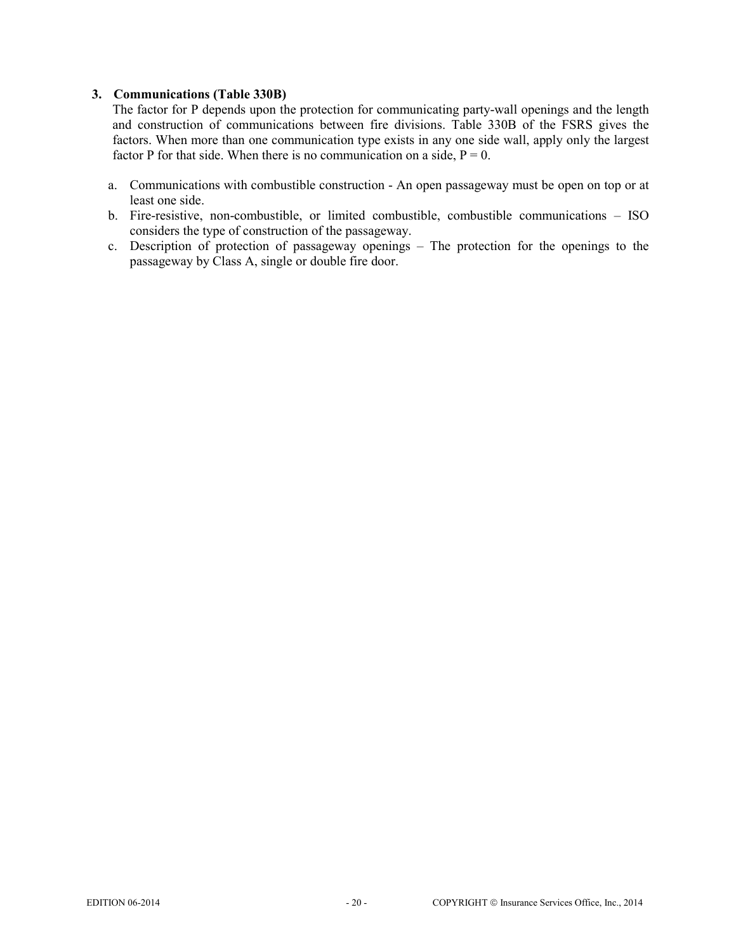#### **3. Communications (Table 330B)**

The factor for P depends upon the protection for communicating party-wall openings and the length and construction of communications between fire divisions. Table 330B of the FSRS gives the factors. When more than one communication type exists in any one side wall, apply only the largest factor P for that side. When there is no communication on a side,  $P = 0$ .

- a. Communications with combustible construction An open passageway must be open on top or at least one side.
- b. Fire-resistive, non-combustible, or limited combustible, combustible communications ISO considers the type of construction of the passageway.
- c. Description of protection of passageway openings The protection for the openings to the passageway by Class A, single or double fire door.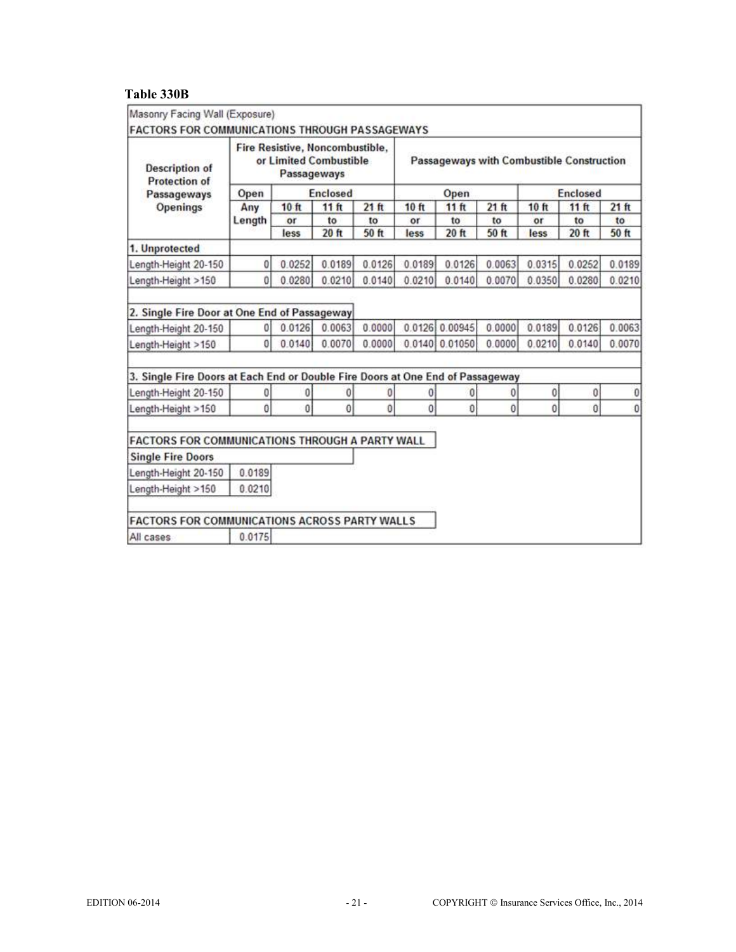# **Table 330B**

| Masonry Facing Wall (Exposure)<br><b>FACTORS FOR COMMUNICATIONS THROUGH PASSAGEWAYS</b> |                |                                                                          |                 |        |                                           |                |          |                 |          |         |
|-----------------------------------------------------------------------------------------|----------------|--------------------------------------------------------------------------|-----------------|--------|-------------------------------------------|----------------|----------|-----------------|----------|---------|
| <b>Description of</b><br><b>Protection of</b><br>Passageways<br>Openings                |                | Fire Resistive, Noncombustible,<br>or Limited Combustible<br>Passageways |                 |        | Passageways with Combustible Construction |                |          |                 |          |         |
|                                                                                         | Open           |                                                                          | <b>Enclosed</b> |        |                                           | Open           |          | <b>Enclosed</b> |          |         |
|                                                                                         | Any            | 10 ft                                                                    | 11ft            | 21ft   | 10 ft                                     | 11 ft          | $21$ ft  | 10 ft           | $11$ ft  | $21$ ft |
|                                                                                         | Length         | or                                                                       | to              | to     | or                                        | to             | to       | or              | to       | to      |
|                                                                                         |                | less                                                                     | 20 ft           | 50 ft  | less                                      | 20 ft          | 50 ft    | less            | 20 ft    | 50 ft   |
| 1. Unprotected                                                                          |                |                                                                          |                 |        |                                           |                |          |                 |          |         |
| Length-Height 20-150                                                                    | 0              | 0.0252                                                                   | 0.0189          | 0.0126 | 0.0189                                    | 0.0126         | 0.0063   | 0.0315          | 0.0252   | 0.0189  |
| Length-Height >150                                                                      | $\overline{0}$ | 0.0280                                                                   | 0.0210          | 0.0140 | 0.0210                                    | 0.0140         | 0.0070   | 0.0350          | 0.0280   | 0.0210  |
| 2. Single Fire Door at One End of Passageway                                            |                |                                                                          |                 |        |                                           |                |          |                 |          |         |
| Length-Height 20-150                                                                    | $\alpha$       | 0.0126                                                                   | 0.0063          | 0.0000 |                                           | 0.0126 0.00945 | 0.0000   | 0.0189          | 0.0126   | 0.0063  |
| Length-Height >150                                                                      | $\overline{0}$ | 0.0140                                                                   | 0.0070          | 0.0000 |                                           | 0.0140 0.01050 | 0.0000   | 0.0210          | 0.0140   | 0.0070  |
| 3. Single Fire Doors at Each End or Double Fire Doors at One End of Passageway          |                |                                                                          |                 |        |                                           |                |          |                 |          |         |
| Length-Height 20-150                                                                    | 0              | 0                                                                        | 0               | 0      | 0                                         | 0              | 0        | 0               | 0        | 0       |
| Length-Height >150                                                                      | Ô              | $\bf{0}$                                                                 | 0               | 0      | o                                         | 0              | $\bf{0}$ | $\bf{0}$        | $\bf{0}$ | 0       |
| <b>FACTORS FOR COMMUNICATIONS THROUGH A PARTY WALL</b>                                  |                |                                                                          |                 |        |                                           |                |          |                 |          |         |
| <b>Single Fire Doors</b>                                                                |                |                                                                          |                 |        |                                           |                |          |                 |          |         |
| Length-Height 20-150                                                                    | 0.0189         |                                                                          |                 |        |                                           |                |          |                 |          |         |
| Length-Height >150                                                                      | 0.0210         |                                                                          |                 |        |                                           |                |          |                 |          |         |
| FACTORS FOR COMMUNICATIONS ACROSS PARTY WALLS                                           |                |                                                                          |                 |        |                                           |                |          |                 |          |         |
| All cases                                                                               | 0.0175         |                                                                          |                 |        |                                           |                |          |                 |          |         |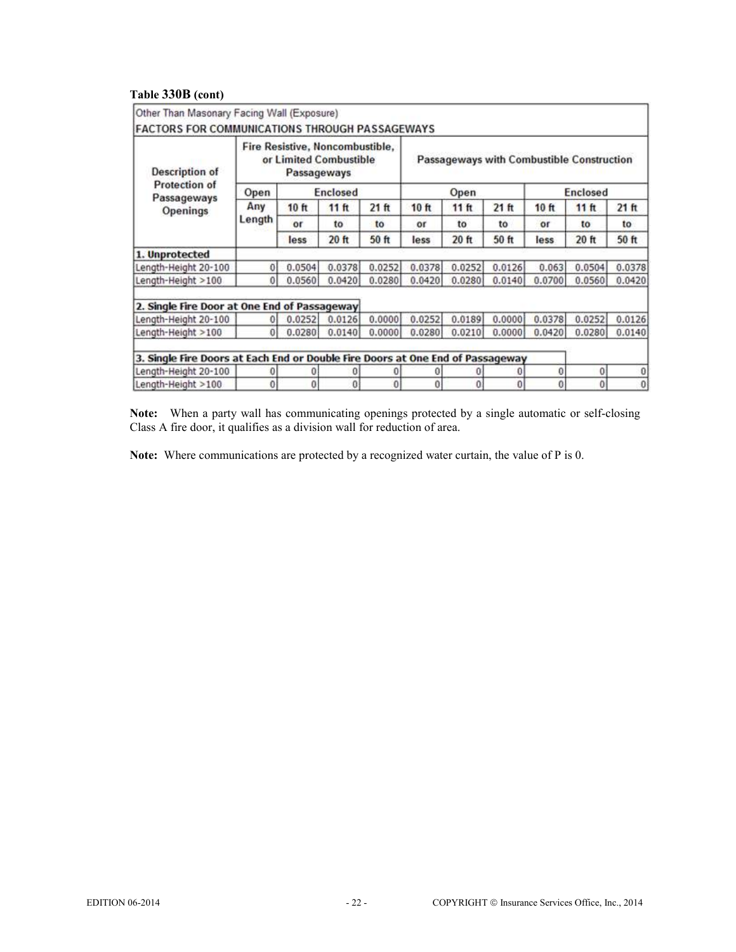## **Table 330B (cont)**

| <b>Description of</b><br>Protection of<br>Passageways<br>Openings              | Fire Resistive, Noncombustible,<br>or Limited Combustible<br>Passageways |                     |                                   |                      | Passageways with Combustible Construction |                     |                      |                     |                                   |                      |
|--------------------------------------------------------------------------------|--------------------------------------------------------------------------|---------------------|-----------------------------------|----------------------|-------------------------------------------|---------------------|----------------------|---------------------|-----------------------------------|----------------------|
|                                                                                | <b>Enclosed</b><br>Open                                                  |                     |                                   |                      | Open                                      |                     |                      | <b>Enclosed</b>     |                                   |                      |
|                                                                                | Any<br>Length                                                            | 10 ft<br>or<br>less | 11 <sup>ft</sup><br>to<br>$20$ ft | 21 ft<br>to<br>50 ft | 10ft<br>or<br>less                        | 11ft<br>to<br>20 ft | 21 ft<br>to<br>50 ft | 10 ft<br>оr<br>less | 11 <sup>ft</sup><br>to<br>$20$ ft | 21 ft<br>to<br>50 ft |
|                                                                                |                                                                          |                     |                                   |                      |                                           |                     |                      |                     |                                   |                      |
| 1. Unprotected                                                                 |                                                                          |                     |                                   |                      |                                           |                     |                      |                     |                                   |                      |
| Length-Height 20-100                                                           | 0                                                                        | 0.0504              | 0.0378                            | 0.0252               | 0.0378                                    | 0.0252              | 0.0126               | 0.063               | 0.0504                            | 0.0378               |
| Length-Height >100                                                             | $\overline{0}$                                                           | 0.0560              | 0.0420                            | 0.0280               | 0.0420                                    | 0.0280              | 0.0140               | 0.0700              | 0.0560                            | 0.0420               |
| 2. Single Fire Door at One End of Passageway                                   |                                                                          |                     |                                   |                      |                                           |                     |                      |                     |                                   |                      |
| Length-Height 20-100                                                           | $\ddot{o}$                                                               | 0.0252              | 0.0126                            | 0.0000               | 0.0252                                    | 0.0189              | 0.0000               | 0.0378              | 0.0252                            | 0.0126               |
| Length-Height >100                                                             | $\overline{0}$                                                           | 0.0280              | 0.0140                            | 0.0000               | 0.0280                                    | 0.0210              | 0.0000               | 0.0420              | 0.0280                            | 0.0140               |
| 3. Single Fire Doors at Each End or Double Fire Doors at One End of Passageway |                                                                          |                     |                                   |                      |                                           |                     |                      |                     |                                   |                      |
| Length-Height 20-100                                                           | 0                                                                        | 0                   | 0                                 | 0                    | ø                                         | 0                   | $\overline{0}$       | 0                   | $\theta$                          |                      |
| Length-Height >100                                                             | $\overline{0}$                                                           | $\theta$            | $\overline{0}$                    | $\overline{0}$       | $\theta$                                  | $\Omega$            | $\overline{0}$       | $\bf{0}$            | 0                                 | $\theta$             |

**Note:** When a party wall has communicating openings protected by a single automatic or self-closing Class A fire door, it qualifies as a division wall for reduction of area.

**Note:** Where communications are protected by a recognized water curtain, the value of P is 0.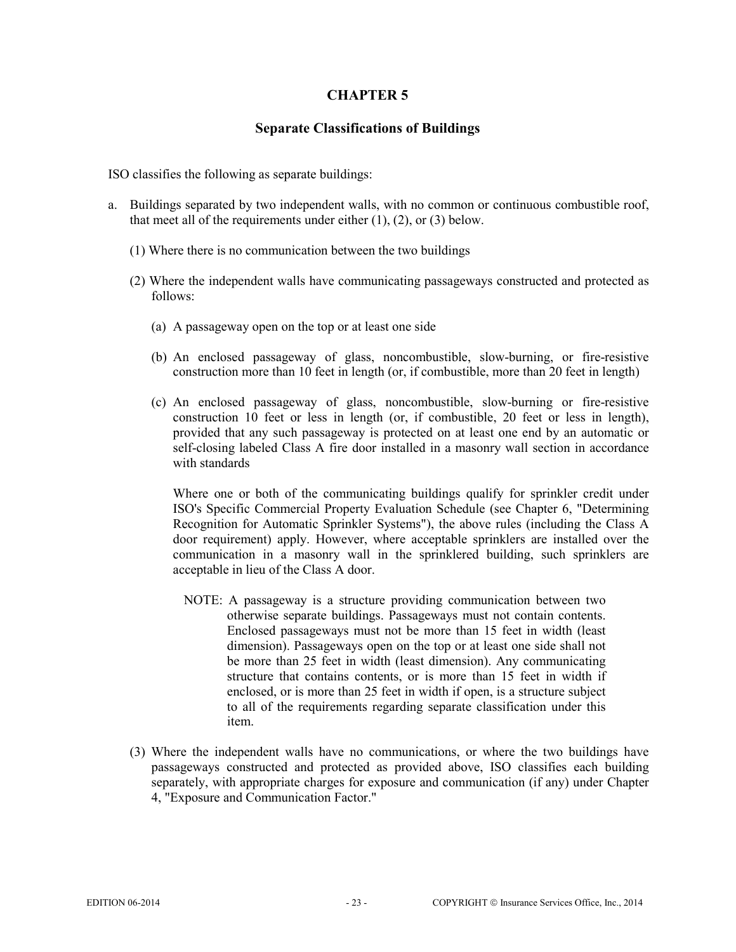## **Separate Classifications of Buildings**

ISO classifies the following as separate buildings:

- a. Buildings separated by two independent walls, with no common or continuous combustible roof, that meet all of the requirements under either  $(1)$ ,  $(2)$ , or  $(3)$  below.
	- (1) Where there is no communication between the two buildings
	- (2) Where the independent walls have communicating passageways constructed and protected as follows:
		- (a) A passageway open on the top or at least one side
		- (b) An enclosed passageway of glass, noncombustible, slow-burning, or fire-resistive construction more than 10 feet in length (or, if combustible, more than 20 feet in length)
		- (c) An enclosed passageway of glass, noncombustible, slow-burning or fire-resistive construction 10 feet or less in length (or, if combustible, 20 feet or less in length), provided that any such passageway is protected on at least one end by an automatic or self-closing labeled Class A fire door installed in a masonry wall section in accordance with standards

Where one or both of the communicating buildings qualify for sprinkler credit under ISO's Specific Commercial Property Evaluation Schedule (see Chapter 6, "Determining Recognition for Automatic Sprinkler Systems"), the above rules (including the Class A door requirement) apply. However, where acceptable sprinklers are installed over the communication in a masonry wall in the sprinklered building, such sprinklers are acceptable in lieu of the Class A door.

- NOTE: A passageway is a structure providing communication between two otherwise separate buildings. Passageways must not contain contents. Enclosed passageways must not be more than 15 feet in width (least dimension). Passageways open on the top or at least one side shall not be more than 25 feet in width (least dimension). Any communicating structure that contains contents, or is more than 15 feet in width if enclosed, or is more than 25 feet in width if open, is a structure subject to all of the requirements regarding separate classification under this item.
- (3) Where the independent walls have no communications, or where the two buildings have passageways constructed and protected as provided above, ISO classifies each building separately, with appropriate charges for exposure and communication (if any) under Chapter 4, "Exposure and Communication Factor."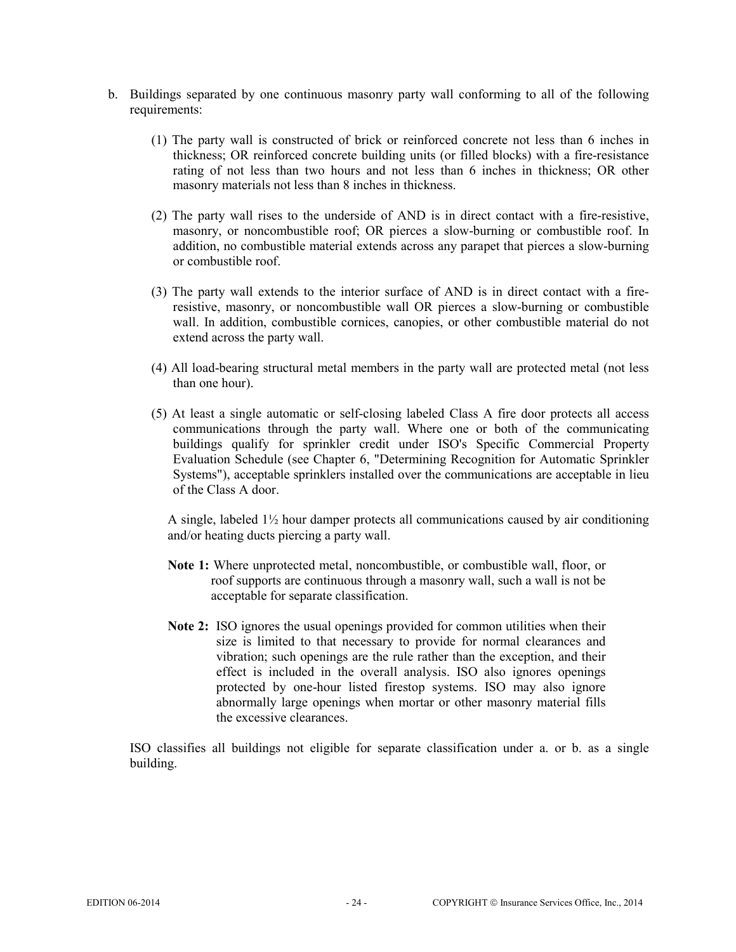- b. Buildings separated by one continuous masonry party wall conforming to all of the following requirements:
	- (1) The party wall is constructed of brick or reinforced concrete not less than 6 inches in thickness; OR reinforced concrete building units (or filled blocks) with a fire-resistance rating of not less than two hours and not less than 6 inches in thickness; OR other masonry materials not less than 8 inches in thickness.
	- (2) The party wall rises to the underside of AND is in direct contact with a fire-resistive, masonry, or noncombustible roof; OR pierces a slow-burning or combustible roof. In addition, no combustible material extends across any parapet that pierces a slow-burning or combustible roof.
	- (3) The party wall extends to the interior surface of AND is in direct contact with a fireresistive, masonry, or noncombustible wall OR pierces a slow-burning or combustible wall. In addition, combustible cornices, canopies, or other combustible material do not extend across the party wall.
	- (4) All load-bearing structural metal members in the party wall are protected metal (not less than one hour).
	- (5) At least a single automatic or self-closing labeled Class A fire door protects all access communications through the party wall. Where one or both of the communicating buildings qualify for sprinkler credit under ISO's Specific Commercial Property Evaluation Schedule (see Chapter 6, "Determining Recognition for Automatic Sprinkler Systems"), acceptable sprinklers installed over the communications are acceptable in lieu of the Class A door.

A single, labeled 1½ hour damper protects all communications caused by air conditioning and/or heating ducts piercing a party wall.

- **Note 1:** Where unprotected metal, noncombustible, or combustible wall, floor, or roof supports are continuous through a masonry wall, such a wall is not be acceptable for separate classification.
- **Note 2:** ISO ignores the usual openings provided for common utilities when their size is limited to that necessary to provide for normal clearances and vibration; such openings are the rule rather than the exception, and their effect is included in the overall analysis. ISO also ignores openings protected by one-hour listed firestop systems. ISO may also ignore abnormally large openings when mortar or other masonry material fills the excessive clearances.

ISO classifies all buildings not eligible for separate classification under a. or b. as a single building.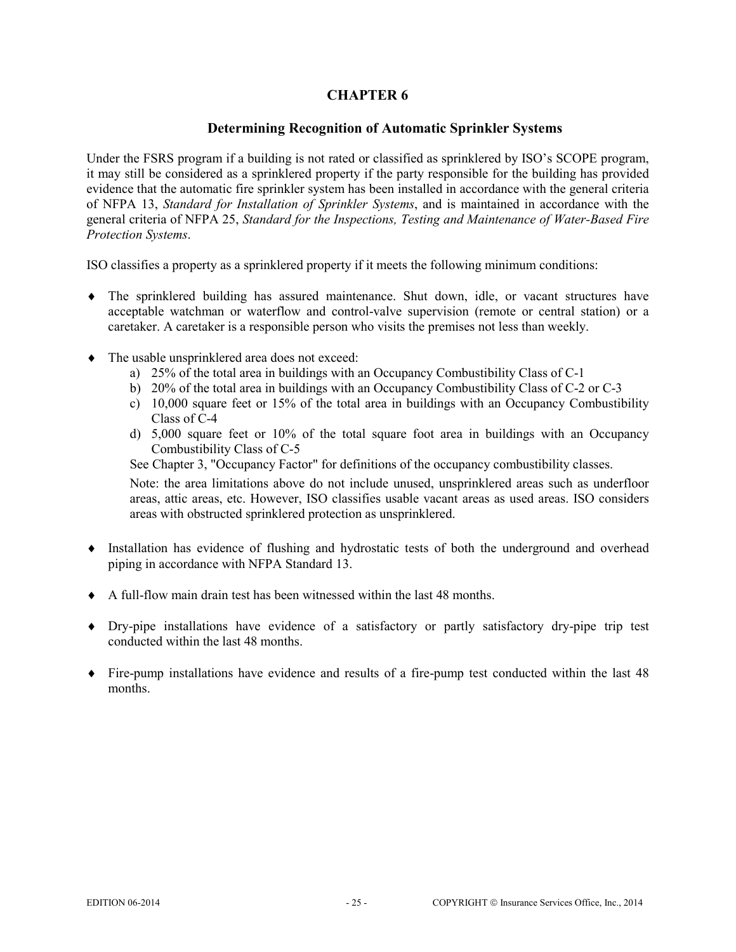# **Determining Recognition of Automatic Sprinkler Systems**

Under the FSRS program if a building is not rated or classified as sprinklered by ISO's SCOPE program, it may still be considered as a sprinklered property if the party responsible for the building has provided evidence that the automatic fire sprinkler system has been installed in accordance with the general criteria of NFPA 13, *Standard for Installation of Sprinkler Systems*, and is maintained in accordance with the general criteria of NFPA 25, *Standard for the Inspections, Testing and Maintenance of Water-Based Fire Protection Systems*.

ISO classifies a property as a sprinklered property if it meets the following minimum conditions:

- ♦ The sprinklered building has assured maintenance. Shut down, idle, or vacant structures have acceptable watchman or waterflow and control-valve supervision (remote or central station) or a caretaker. A caretaker is a responsible person who visits the premises not less than weekly.
- ♦ The usable unsprinklered area does not exceed:
	- a) 25% of the total area in buildings with an Occupancy Combustibility Class of C-1
	- b) 20% of the total area in buildings with an Occupancy Combustibility Class of C-2 or C-3
	- c) 10,000 square feet or 15% of the total area in buildings with an Occupancy Combustibility Class of C-4
	- d) 5,000 square feet or 10% of the total square foot area in buildings with an Occupancy Combustibility Class of C-5

See Chapter 3, "Occupancy Factor" for definitions of the occupancy combustibility classes.

Note: the area limitations above do not include unused, unsprinklered areas such as underfloor areas, attic areas, etc. However, ISO classifies usable vacant areas as used areas. ISO considers areas with obstructed sprinklered protection as unsprinklered.

- ♦ Installation has evidence of flushing and hydrostatic tests of both the underground and overhead piping in accordance with NFPA Standard 13.
- ♦ A full-flow main drain test has been witnessed within the last 48 months.
- ♦ Dry-pipe installations have evidence of a satisfactory or partly satisfactory dry-pipe trip test conducted within the last 48 months.
- ♦ Fire-pump installations have evidence and results of a fire-pump test conducted within the last 48 months.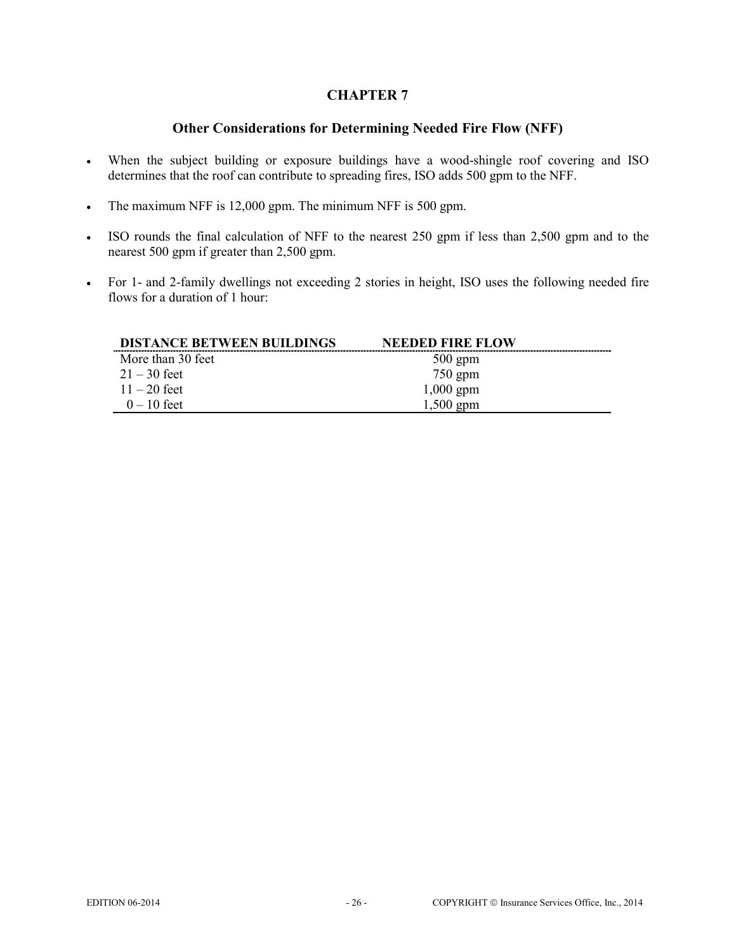# **Other Considerations for Determining Needed Fire Flow (NFF)**

- When the subject building or exposure buildings have a wood-shingle roof covering and ISO determines that the roof can contribute to spreading fires, ISO adds 500 gpm to the NFF.
- The maximum NFF is 12,000 gpm. The minimum NFF is 500 gpm.
- ISO rounds the final calculation of NFF to the nearest 250 gpm if less than 2,500 gpm and to the nearest 500 gpm if greater than 2,500 gpm.
- For 1- and 2-family dwellings not exceeding 2 stories in height, ISO uses the following needed fire flows for a duration of 1 hour:

| <b>DISTANCE BETWEEN BUILDINGS</b> | <b>NEEDED FIRE FLOW</b> |  |
|-----------------------------------|-------------------------|--|
| More than 30 feet                 | $500$ gpm               |  |
| $21 - 30$ feet                    | $750$ gpm               |  |
| $11 - 20$ feet                    | $1,000$ gpm             |  |
| $0 - 10$ feet                     | $1,500$ gpm             |  |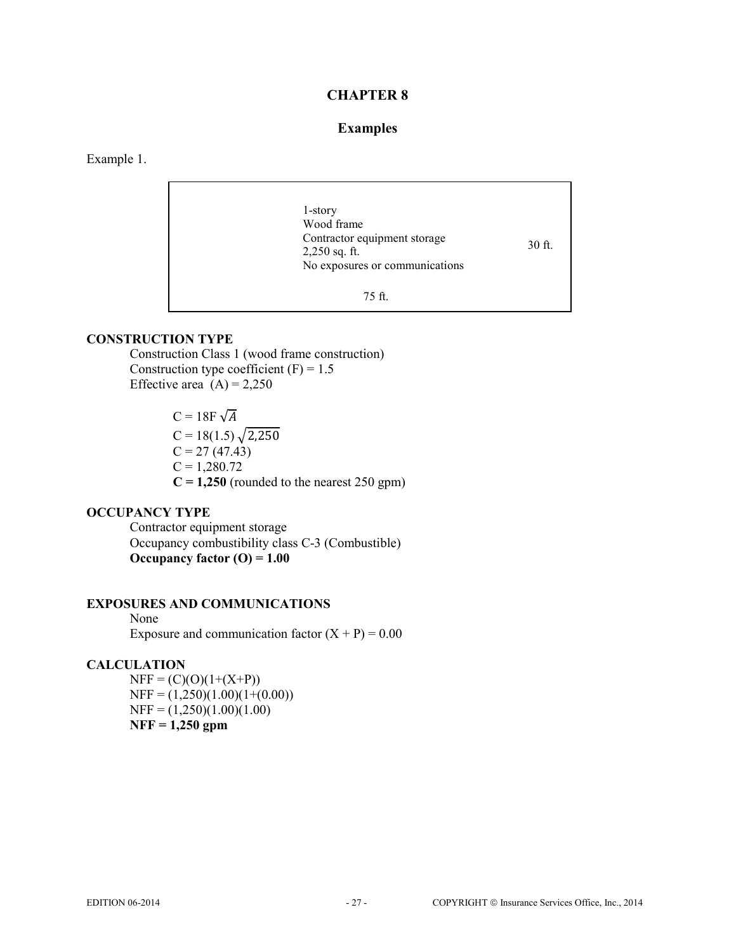## **Examples**

Example 1.

1-story Wood frame Contractor equipment storage 2,250 sq. ft. No exposures or communications 30 ft. 75 ft.

# **CONSTRUCTION TYPE**

Construction Class 1 (wood frame construction) Construction type coefficient  $(F) = 1.5$ Effective area  $(A) = 2,250$ 

> $C = 18F \sqrt{A}$  $C = 18(1.5)\sqrt{2,250}$  $C = 27(47.43)$  $C = 1,280.72$  $C = 1,250$  (rounded to the nearest 250 gpm)

## **OCCUPANCY TYPE**

 Contractor equipment storage Occupancy combustibility class C-3 (Combustible) **Occupancy factor (O) = 1.00** 

#### **EXPOSURES AND COMMUNICATIONS**

 None Exposure and communication factor  $(X + P) = 0.00$ 

#### **CALCULATION**

 $NFF = (C)(O)(1+(X+P))$  $NFF = (1,250)(1.00)(1+(0.00))$  $NFF = (1,250)(1.00)(1.00)$ **NFF = 1,250 gpm**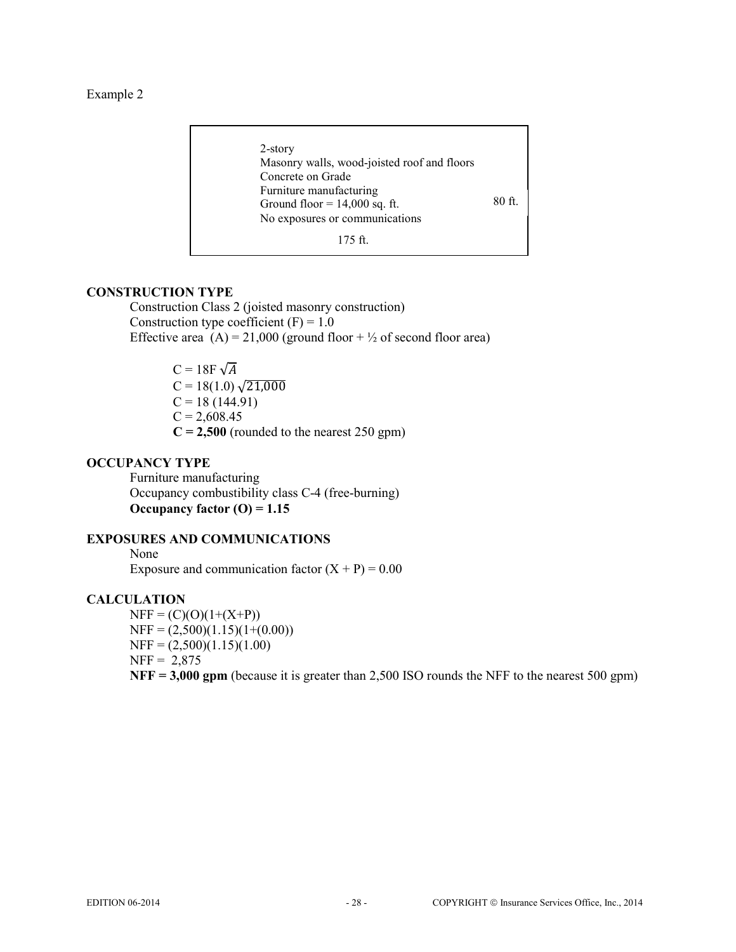Example 2

2-story Masonry walls, wood-joisted roof and floors Concrete on Grade Furniture manufacturing Ground floor  $= 14,000$  sq. ft. No exposures or communications 80 ft.

# 175 ft.

#### **CONSTRUCTION TYPE**

Construction Class 2 (joisted masonry construction) Construction type coefficient  $(F) = 1.0$ Effective area  $(A) = 21,000$  (ground floor +  $\frac{1}{2}$  of second floor area)

> $C = 18F \sqrt{A}$  $C = 18(1.0) \sqrt{21,000}$  $C = 18(144.91)$  $C = 2,608.45$  $C = 2,500$  (rounded to the nearest 250 gpm)

# **OCCUPANCY TYPE**

 Furniture manufacturing Occupancy combustibility class C-4 (free-burning) **Occupancy factor (O) = 1.15** 

### **EXPOSURES AND COMMUNICATIONS**

 None Exposure and communication factor  $(X + P) = 0.00$ 

#### **CALCULATION**

 $NFF = (C)(O)(1+(X+P))$  $NFF = (2,500)(1.15)(1+(0.00))$  $NFF = (2,500)(1.15)(1.00)$  $NFF = 2,875$ **NFF = 3,000 gpm** (because it is greater than 2,500 ISO rounds the NFF to the nearest 500 gpm)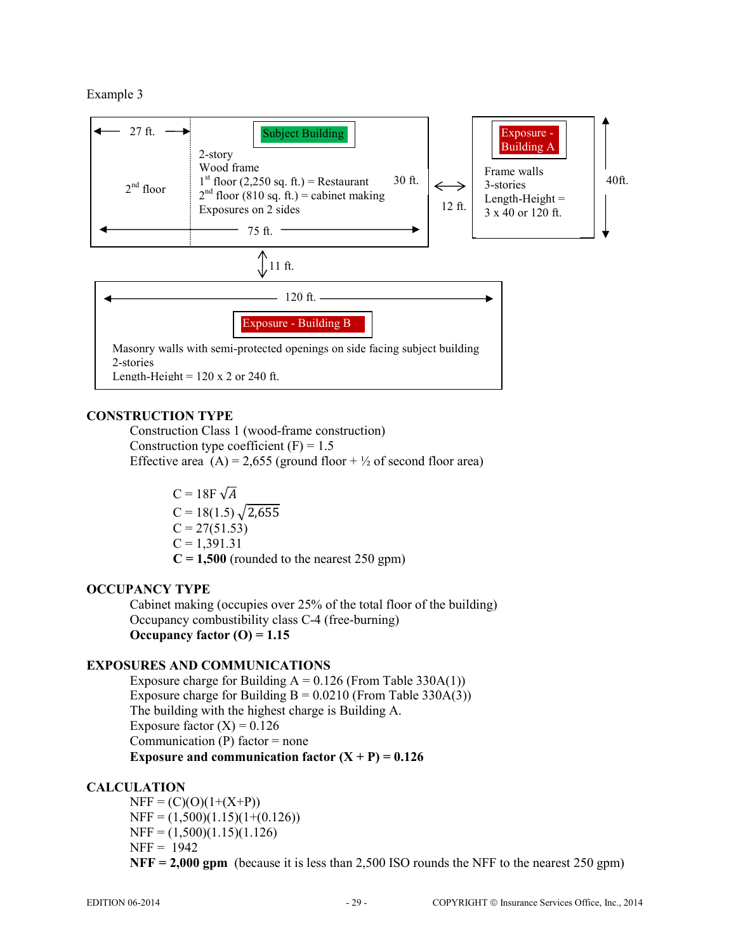Example 3



# **CONSTRUCTION TYPE**

Construction Class 1 (wood-frame construction) Construction type coefficient  $(F) = 1.5$ Effective area  $(A) = 2,655$  (ground floor +  $\frac{1}{2}$  of second floor area)

> $C = 18F \sqrt{A}$  $C = 18(1.5)\sqrt{2,655}$  $C = 27(51.53)$  $C = 1,391.31$  $C = 1,500$  (rounded to the nearest 250 gpm)

## **OCCUPANCY TYPE**

 Cabinet making (occupies over 25% of the total floor of the building) Occupancy combustibility class C-4 (free-burning) **Occupancy factor (O) = 1.15** 

## **EXPOSURES AND COMMUNICATIONS**

Exposure charge for Building  $A = 0.126$  (From Table 330A(1)) Exposure charge for Building  $B = 0.0210$  (From Table 330A(3)) The building with the highest charge is Building A. Exposure factor  $(X) = 0.126$ Communication  $(P)$  factor = none **Exposure and communication factor**  $(X + P) = 0.126$ 

## **CALCULATION**

 $NFF = (C)(O)(1+(X+P))$  $NFF = (1,500)(1.15)(1+(0.126))$  $NFF = (1,500)(1.15)(1.126)$  $NFF = 1942$ **NFF = 2,000 gpm** (because it is less than 2,500 ISO rounds the NFF to the nearest 250 gpm)